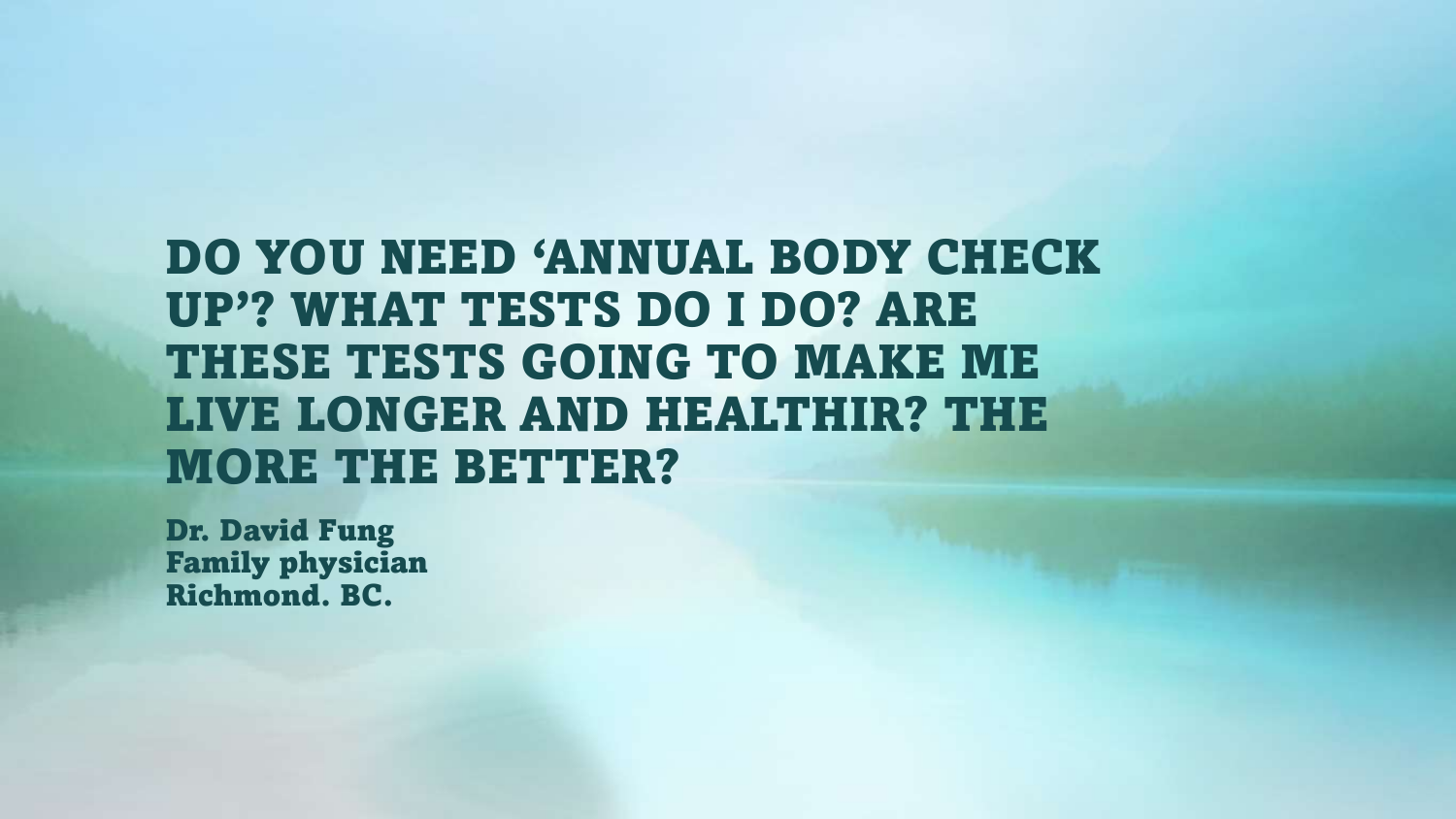### DO YOU NEED 'ANNUAL BODY CHECK UP'? WHAT TESTS DO I DO? ARE THESE TESTS GOING TO MAKE ME LIVE LONGER AND HEALTHIR? THE MORE THE BETTER?

Dr. David Fung Family physician Richmond. BC.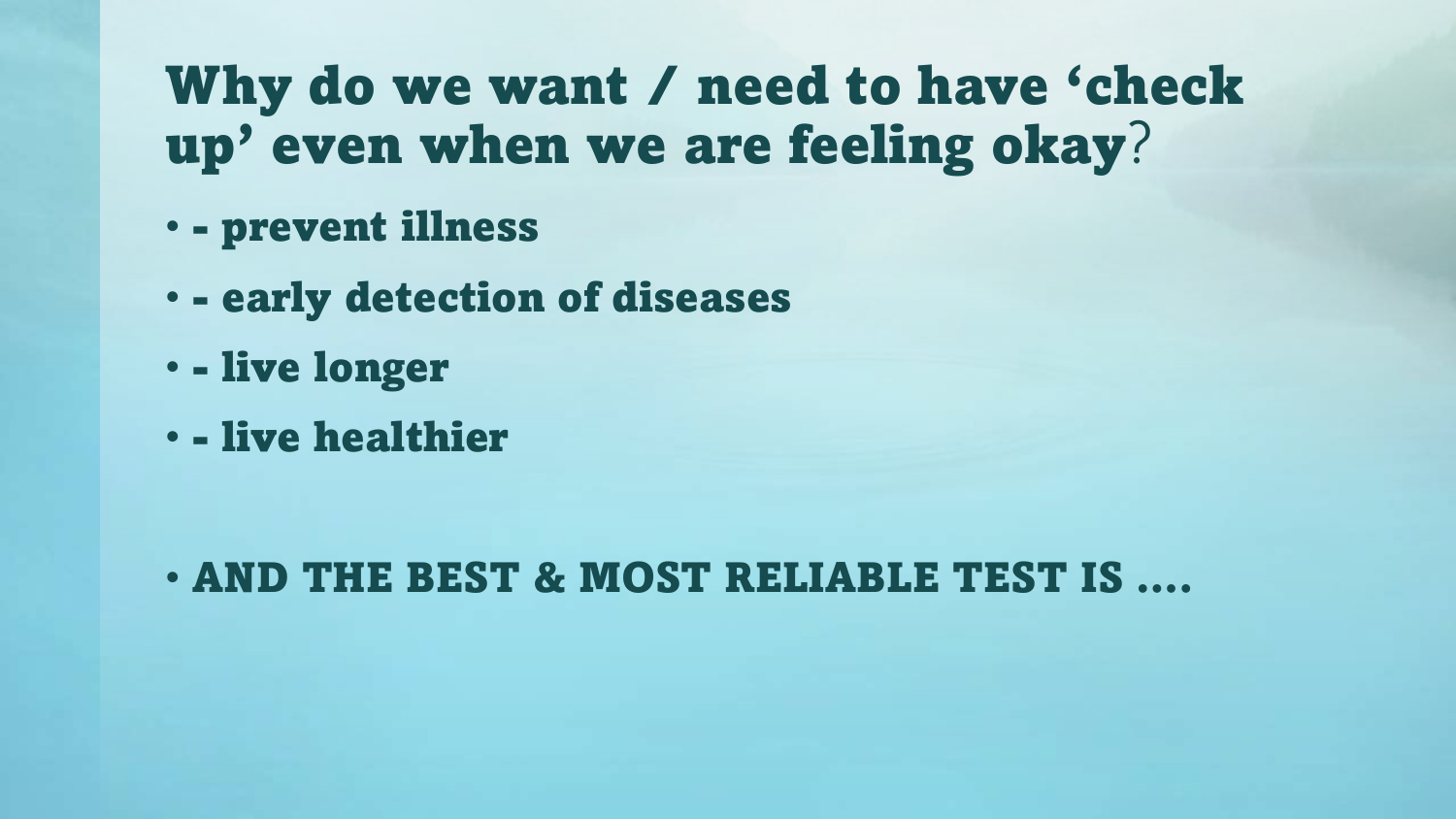### Why do we want / need to have 'check up' even when we are feeling okay?

- - prevent illness
- - early detection of diseases
- - live longer
- - live healthier

• AND THE BEST & MOST RELIABLE TEST IS ….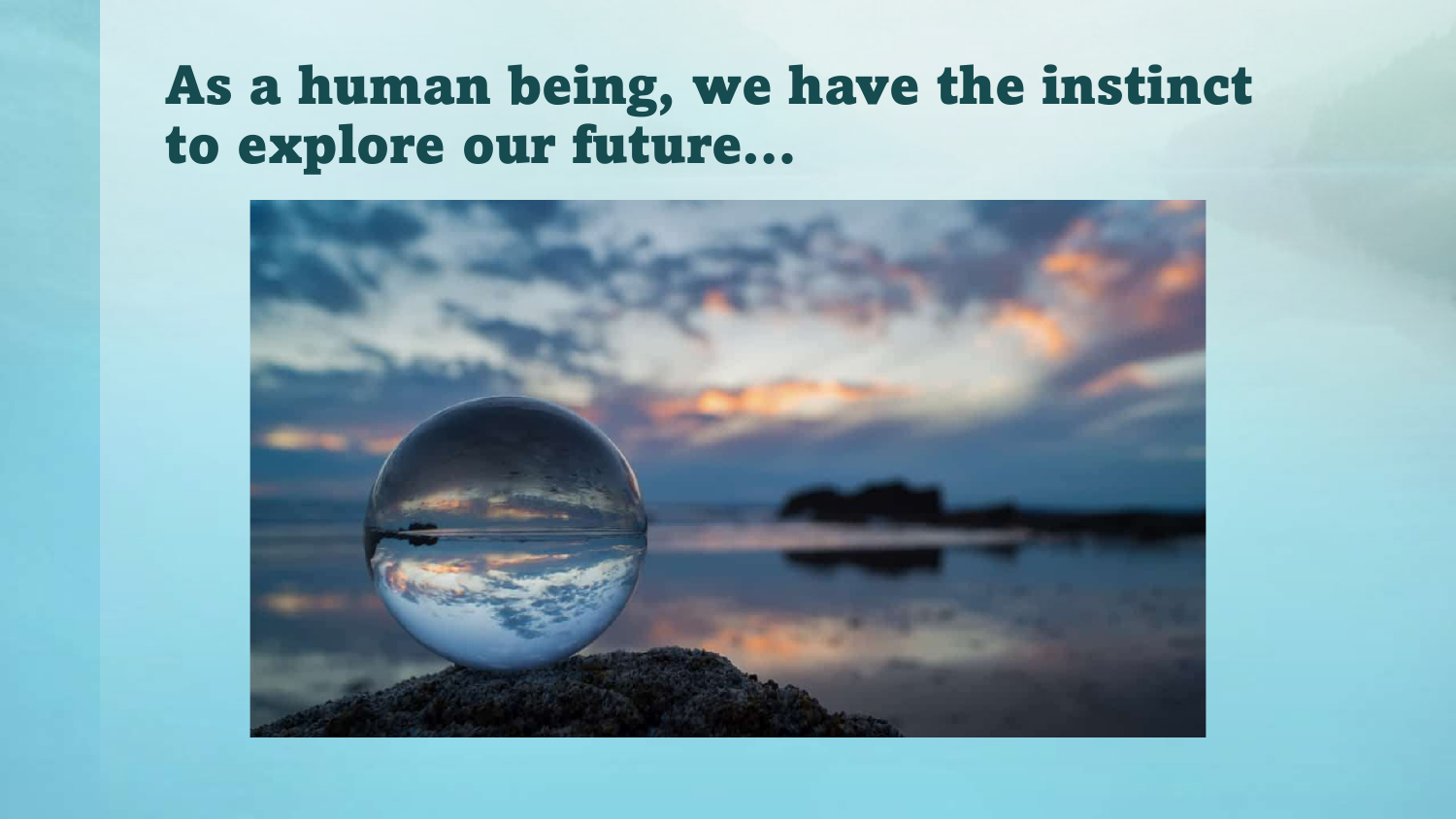## As a human being, we have the instinct to explore our future…

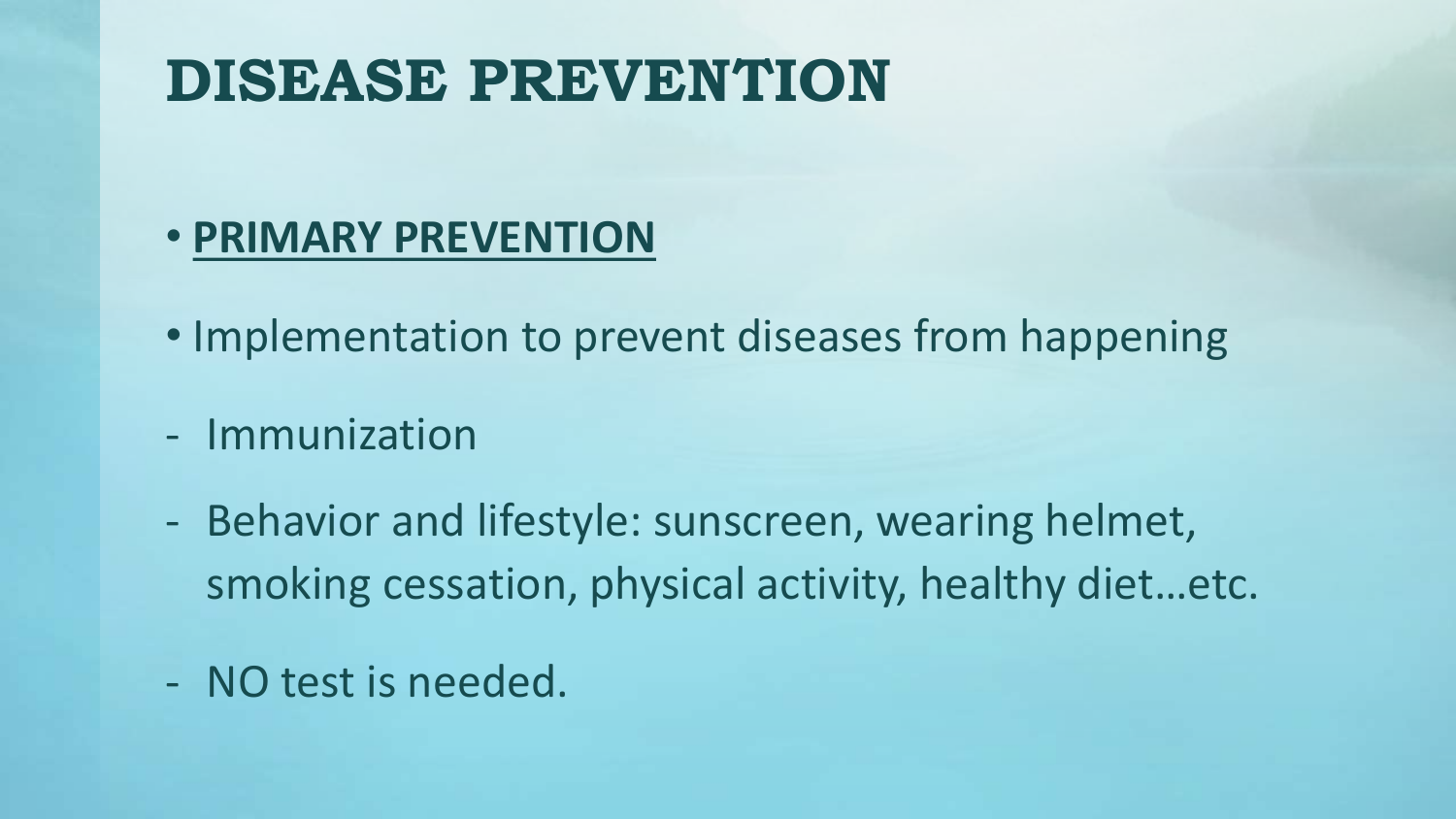# **DISEASE PREVENTION**

### • **PRIMARY PREVENTION**

- Implementation to prevent diseases from happening
- Immunization
- Behavior and lifestyle: sunscreen, wearing helmet, smoking cessation, physical activity, healthy diet…etc.
- NO test is needed.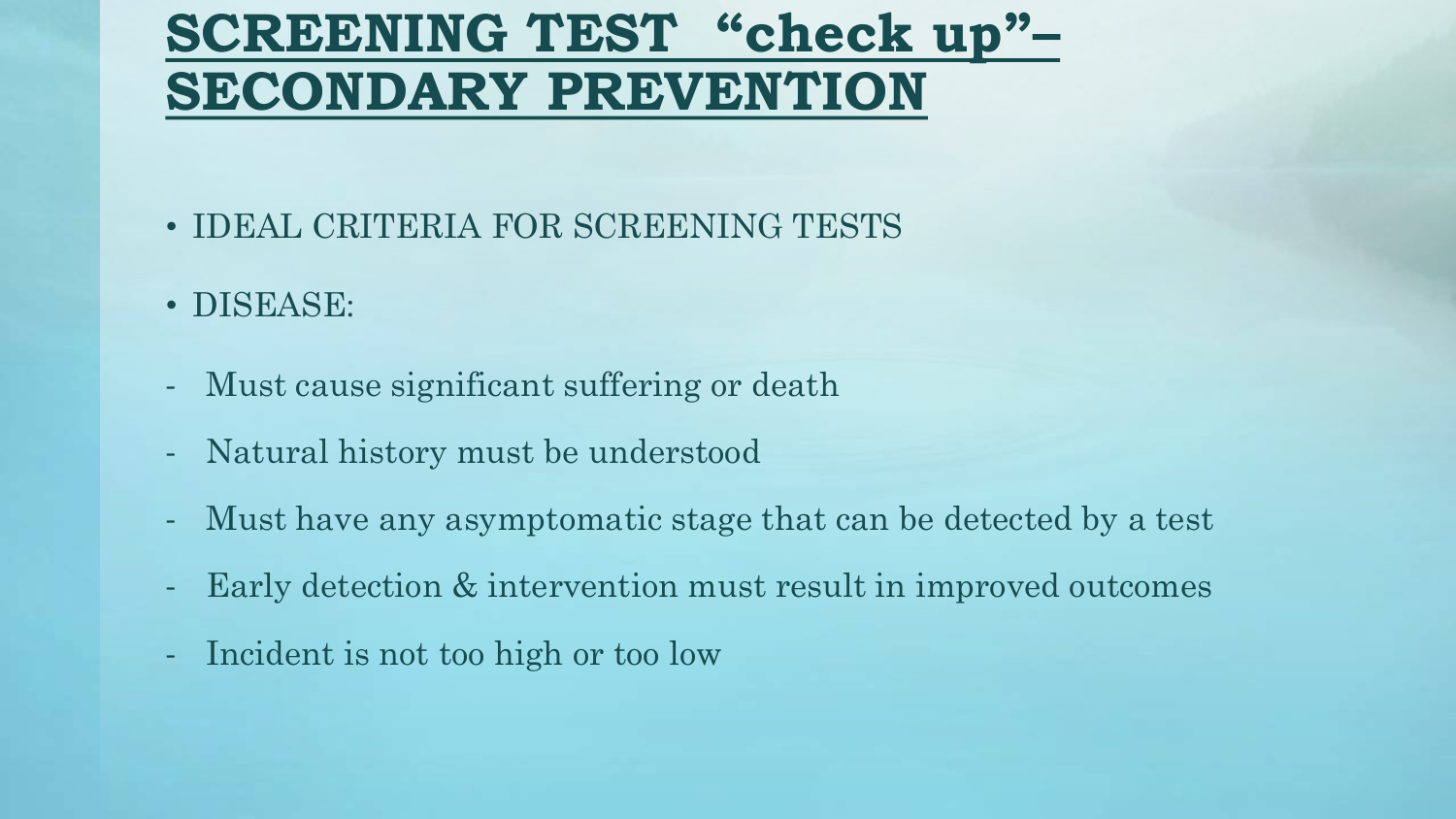## **SCREENING TEST "check up"– SECONDARY PREVENTION**

- IDEAL CRITERIA FOR SCREENING TESTS
- DISEASE:
- Must cause significant suffering or death
- Natural history must be understood
- Must have any asymptomatic stage that can be detected by a test
- Early detection & intervention must result in improved outcomes
- Incident is not too high or too low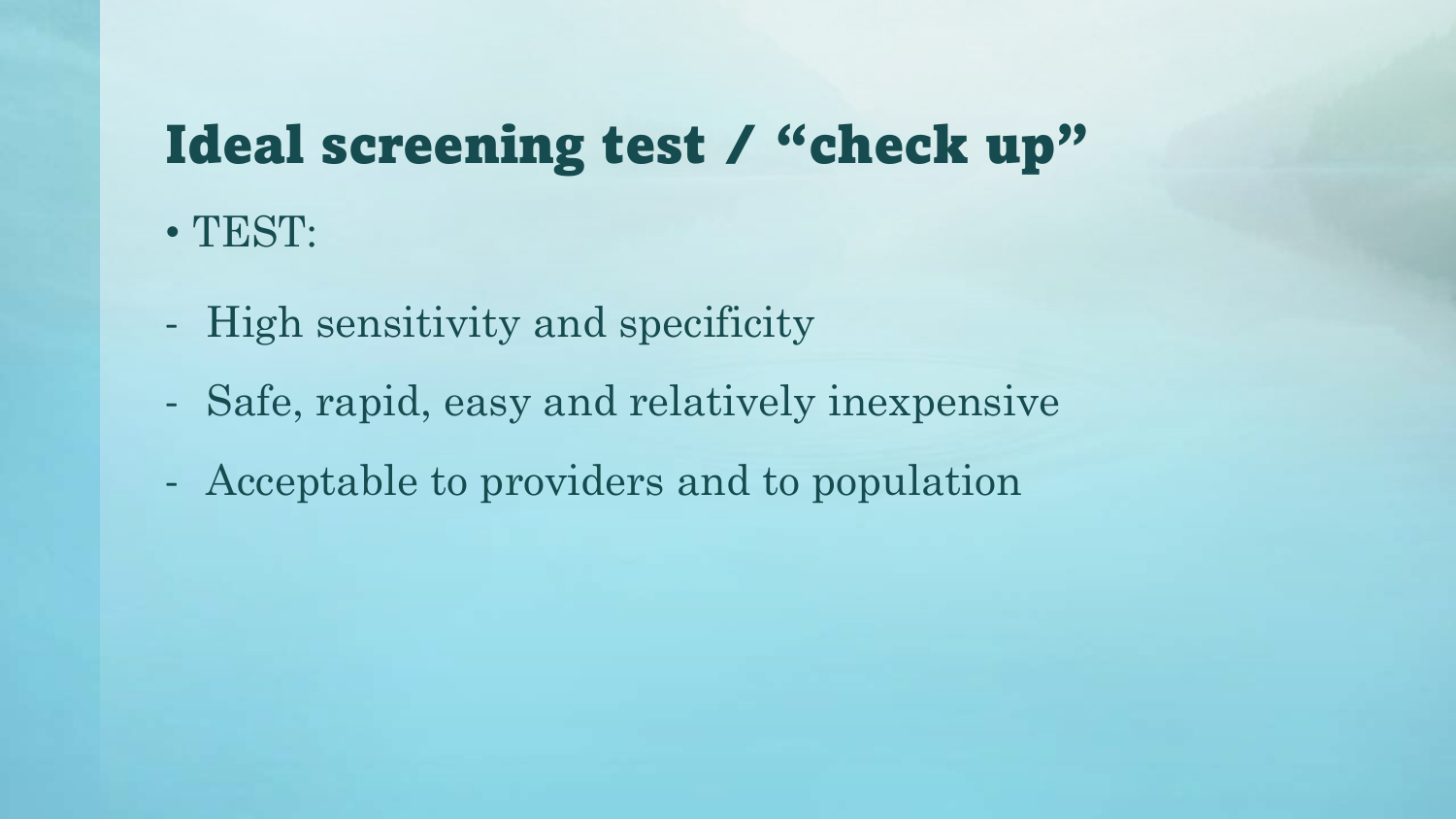### Ideal screening test / "check up"

- TEST:
- High sensitivity and specificity
- Safe, rapid, easy and relatively inexpensive
- Acceptable to providers and to population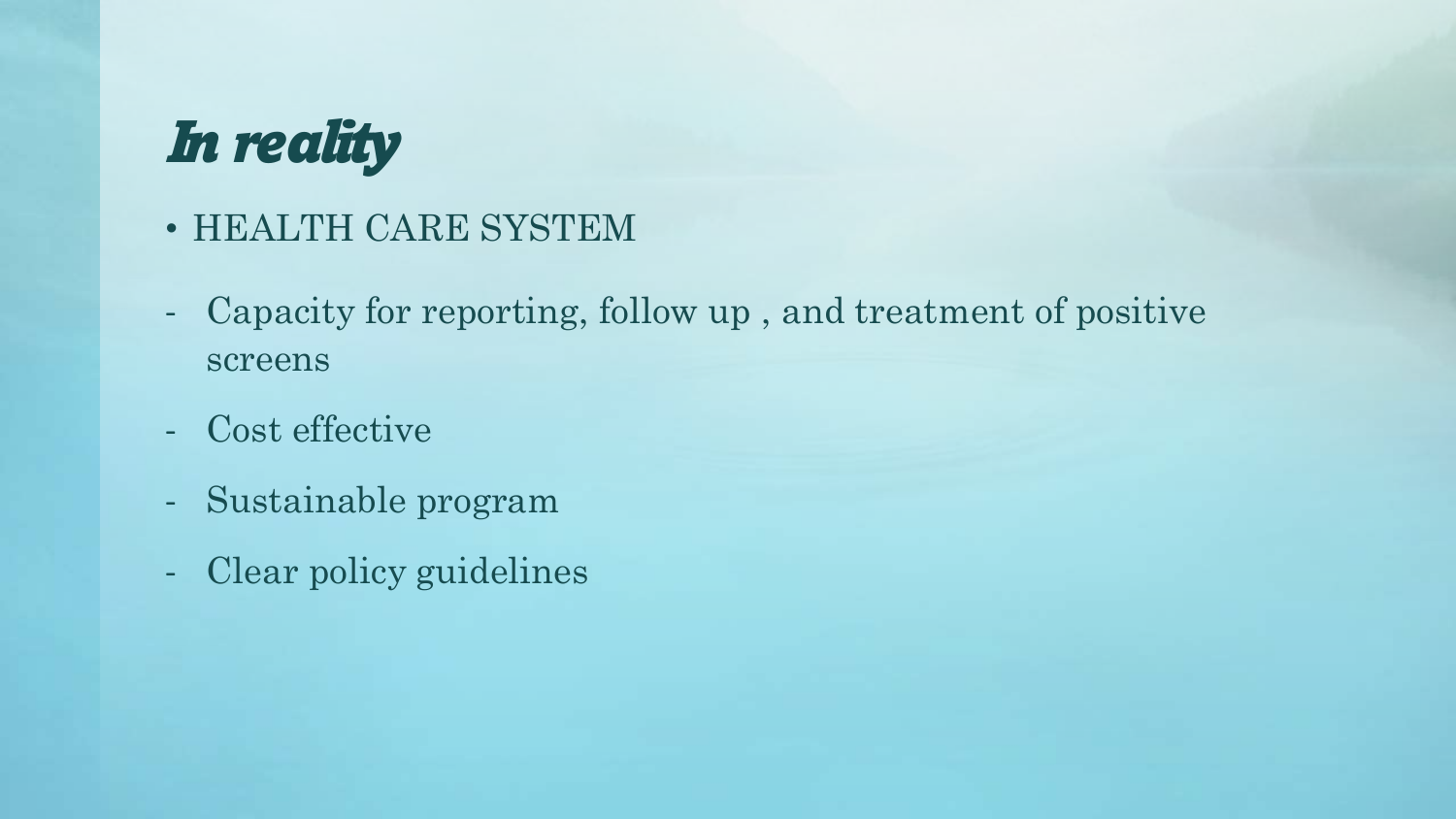

- HEALTH CARE SYSTEM
- Capacity for reporting, follow up , and treatment of positive screens
- Cost effective
- Sustainable program
- Clear policy guidelines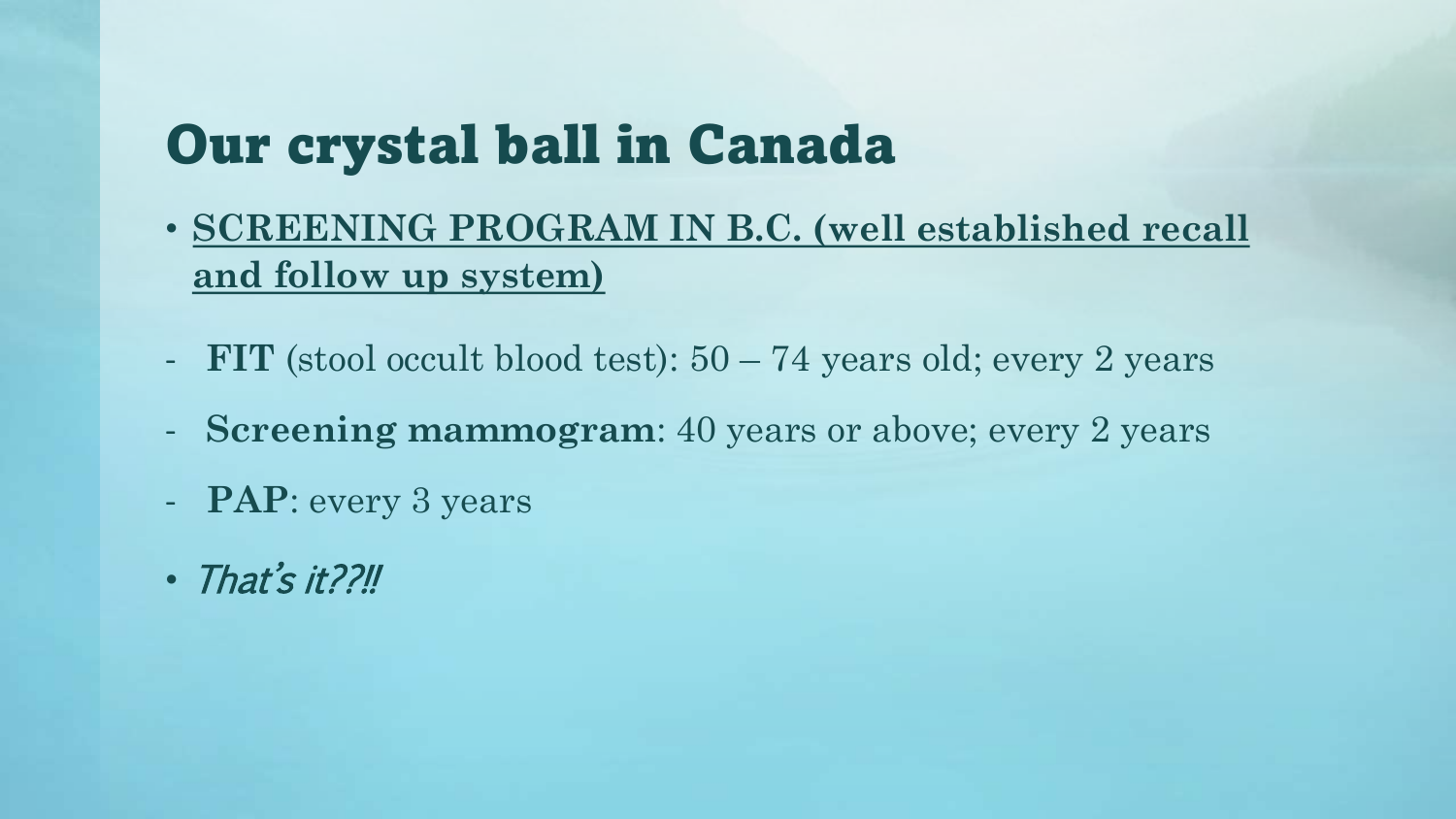### Our crystal ball in Canada

- **SCREENING PROGRAM IN B.C. (well established recall and follow up system)**
- **FIT** (stool occult blood test): 50 74 years old; every 2 years
- **Screening mammogram**: 40 years or above; every 2 years
- **PAP**: every 3 years
- That's it??!!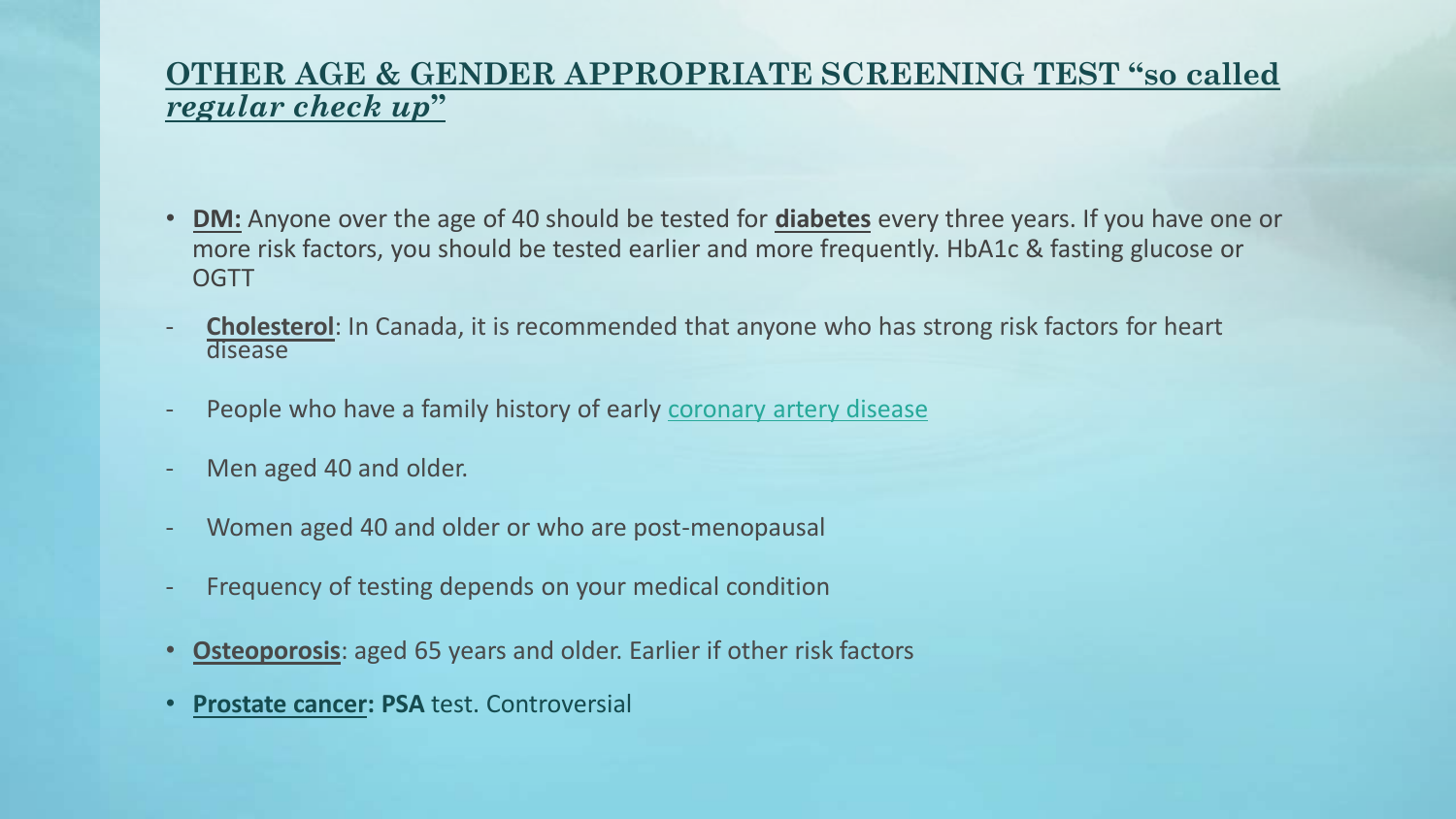#### **OTHER AGE & GENDER APPROPRIATE SCREENING TEST "so called**  *regular check up***"**

- **DM:** Anyone over the age of 40 should be tested for **diabetes** every three years. If you have one or more risk factors, you should be tested earlier and more frequently. HbA1c & fasting glucose or **OGTT**
- **Cholesterol**: In Canada, it is recommended that anyone who has strong risk factors for heart disease
- People who have a family history of early [coronary artery disease](https://www.healthlinkbc.ca/health-topics/stc123750#stc123750-sec)
- Men aged 40 and older.
- Women aged 40 and older or who are post-menopausal
- Frequency of testing depends on your medical condition
- **Osteoporosis**: aged 65 years and older. Earlier if other risk factors
- **Prostate cancer: PSA** test. Controversial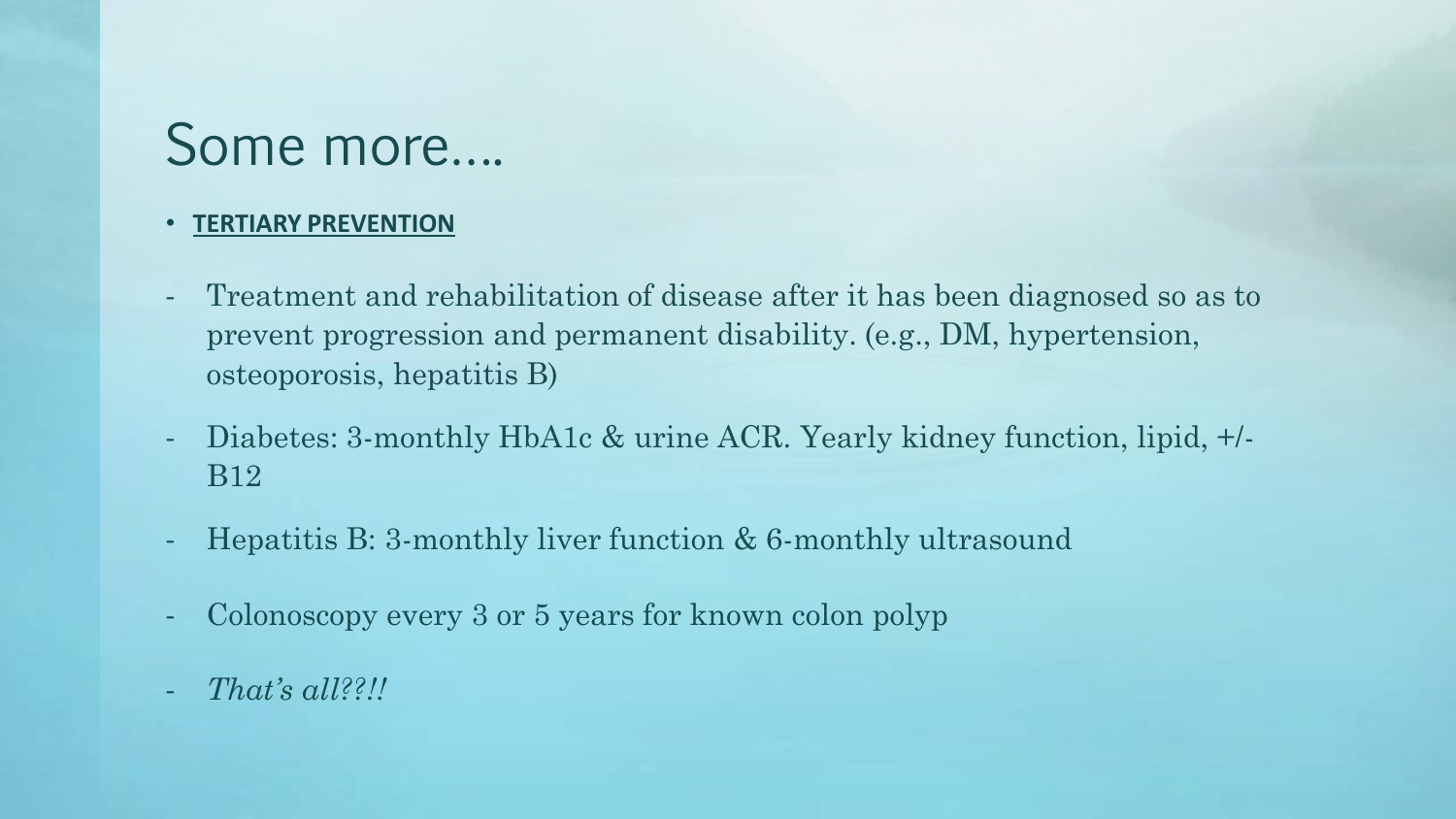## Some more….

#### • **TERTIARY PREVENTION**

- Treatment and rehabilitation of disease after it has been diagnosed so as to prevent progression and permanent disability. (e.g., DM, hypertension, osteoporosis, hepatitis B)
- Diabetes: 3-monthly HbA1c & urine ACR. Yearly kidney function, lipid, +/- B12
- Hepatitis B: 3-monthly liver function & 6-monthly ultrasound
- Colonoscopy every 3 or 5 years for known colon polyp
- *That's all??!!*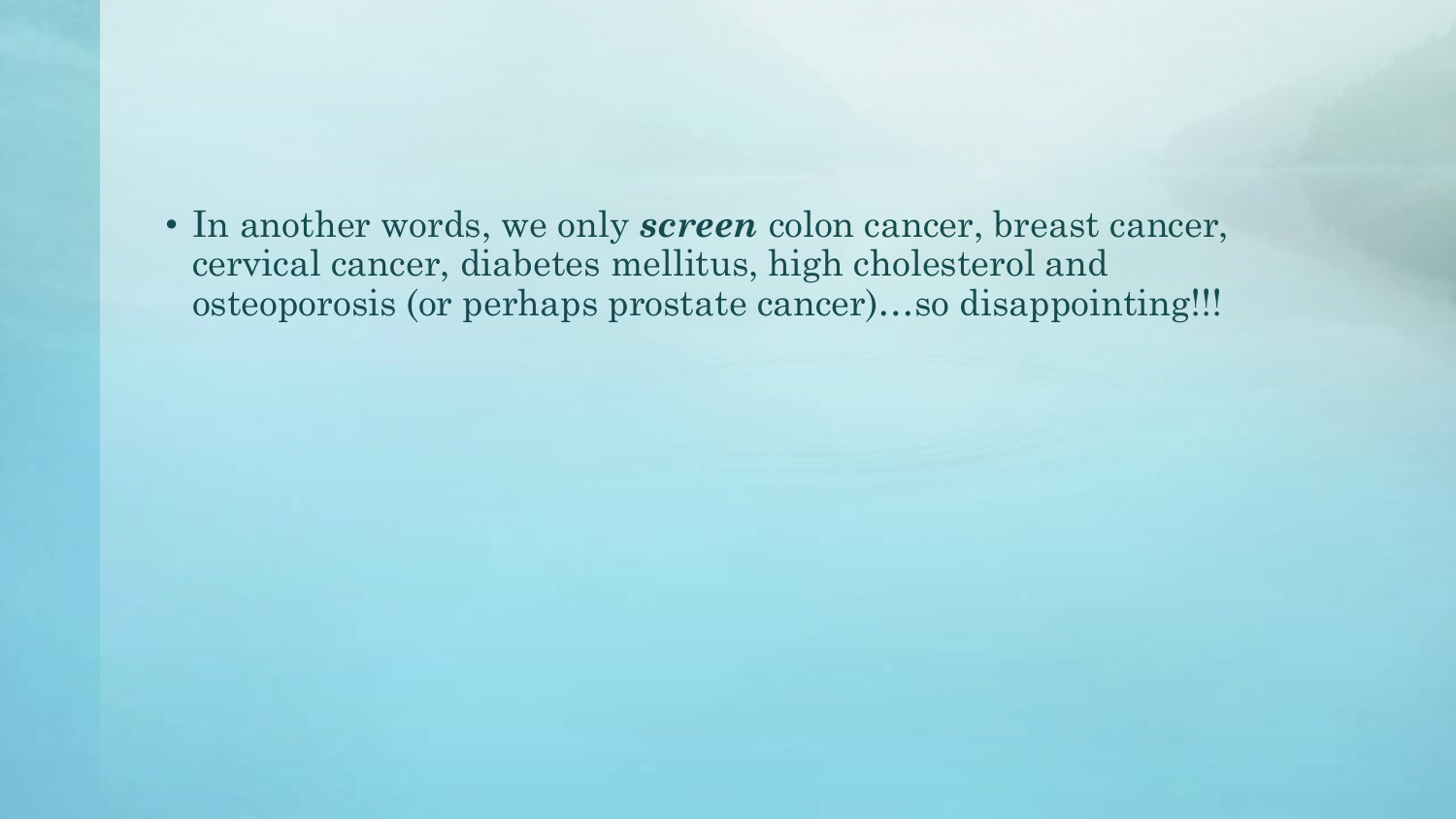• In another words, we only *screen* colon cancer, breast cancer, cervical cancer, diabetes mellitus, high cholesterol and osteoporosis (or perhaps prostate cancer)…so disappointing!!!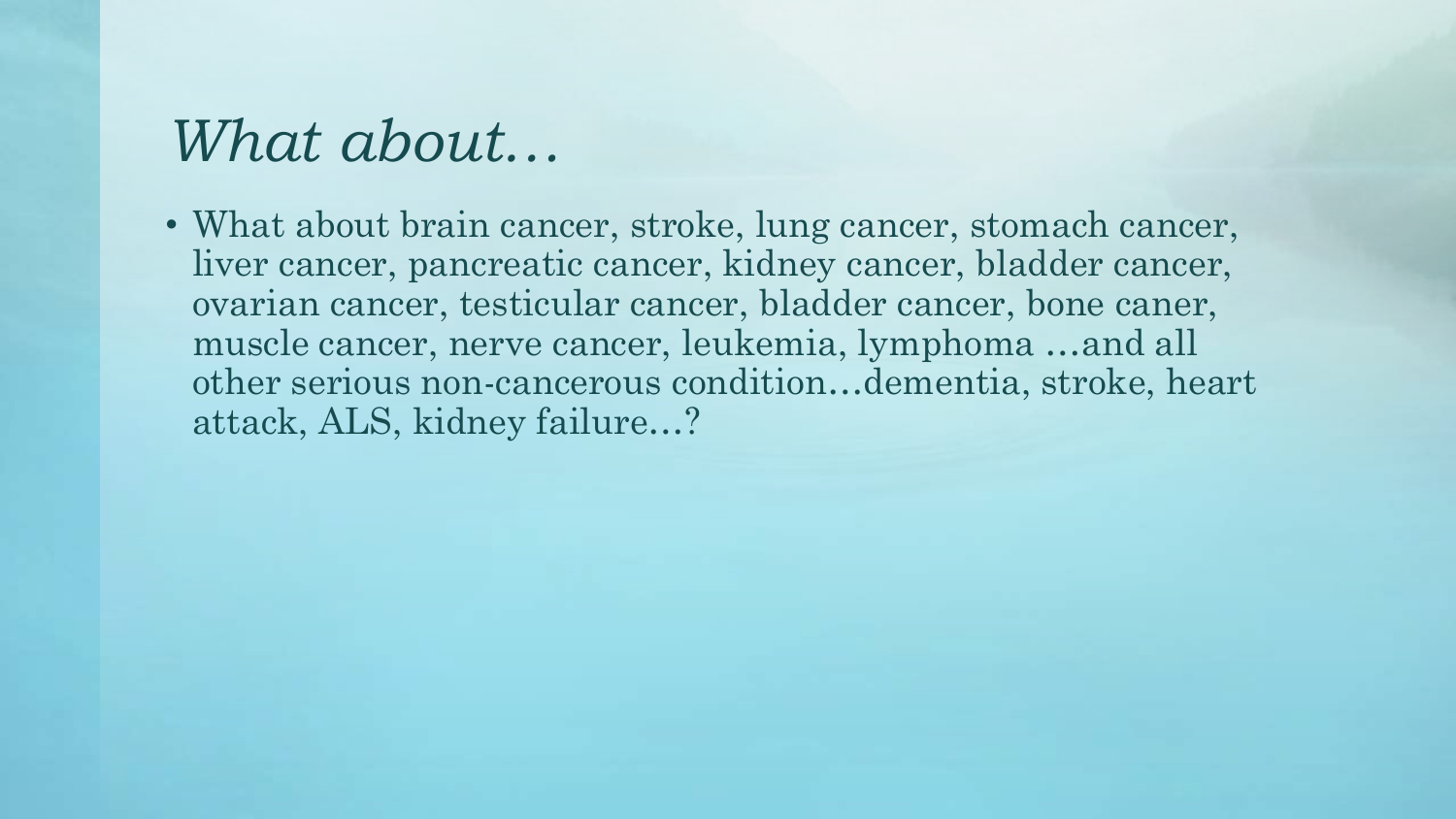## *What about…*

• What about brain cancer, stroke, lung cancer, stomach cancer, liver cancer, pancreatic cancer, kidney cancer, bladder cancer, ovarian cancer, testicular cancer, bladder cancer, bone caner, muscle cancer, nerve cancer, leukemia, lymphoma …and all other serious non-cancerous condition…dementia, stroke, heart attack, ALS, kidney failure…?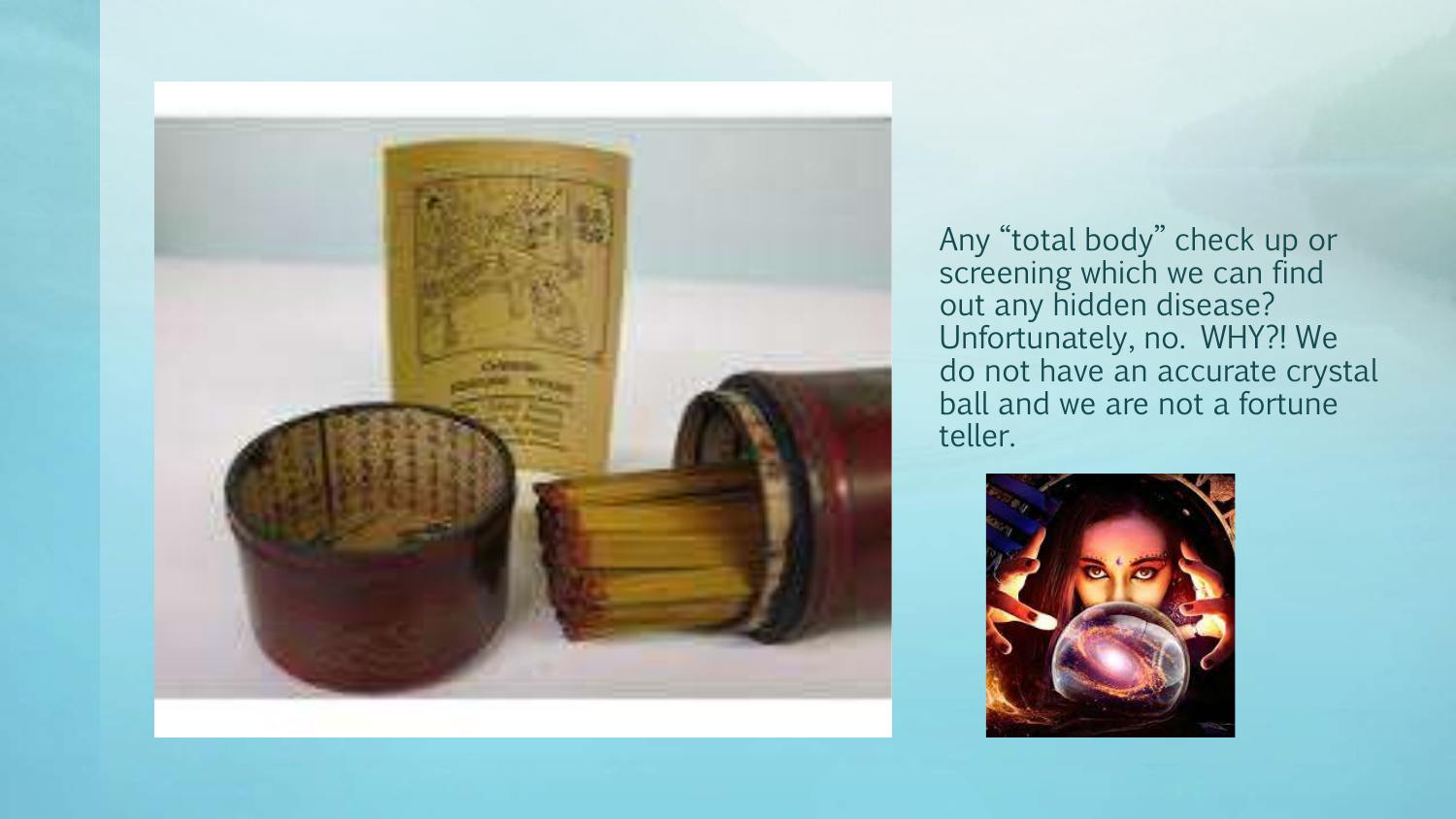

Any "total body" check up or screening which we can find out any hidden disease? Unfortunately, no. WHY?! We do not have an accurate crystal ball and we are not a fortune teller.

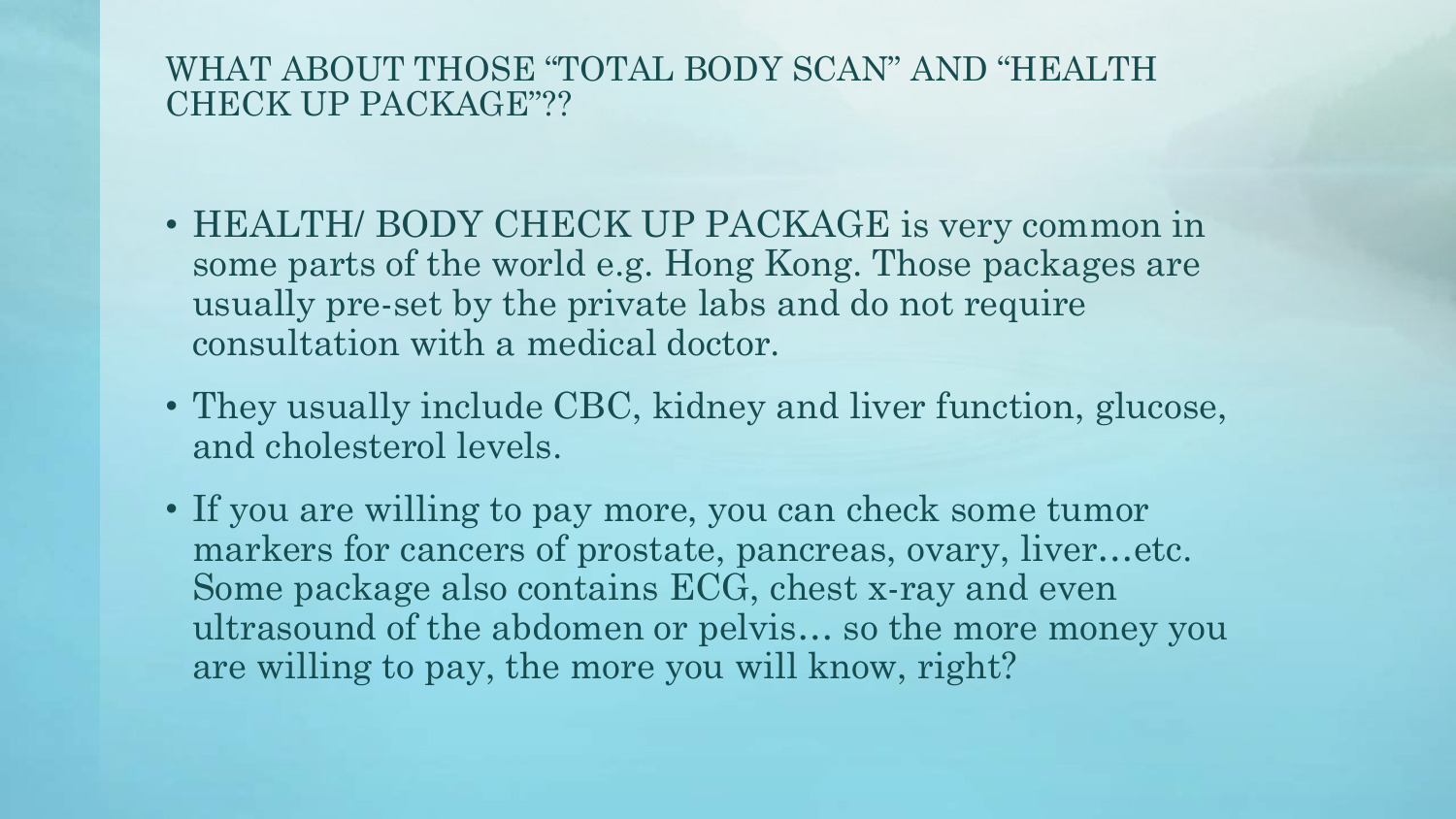#### WHAT ABOUT THOSE "TOTAL BODY SCAN" AND "HEALTH CHECK UP PACKAGE"??

- HEALTH/ BODY CHECK UP PACKAGE is very common in some parts of the world e.g. Hong Kong. Those packages are usually pre-set by the private labs and do not require consultation with a medical doctor.
- They usually include CBC, kidney and liver function, glucose, and cholesterol levels.
- If you are willing to pay more, you can check some tumor markers for cancers of prostate, pancreas, ovary, liver…etc. Some package also contains ECG, chest x-ray and even ultrasound of the abdomen or pelvis… so the more money you are willing to pay, the more you will know, right?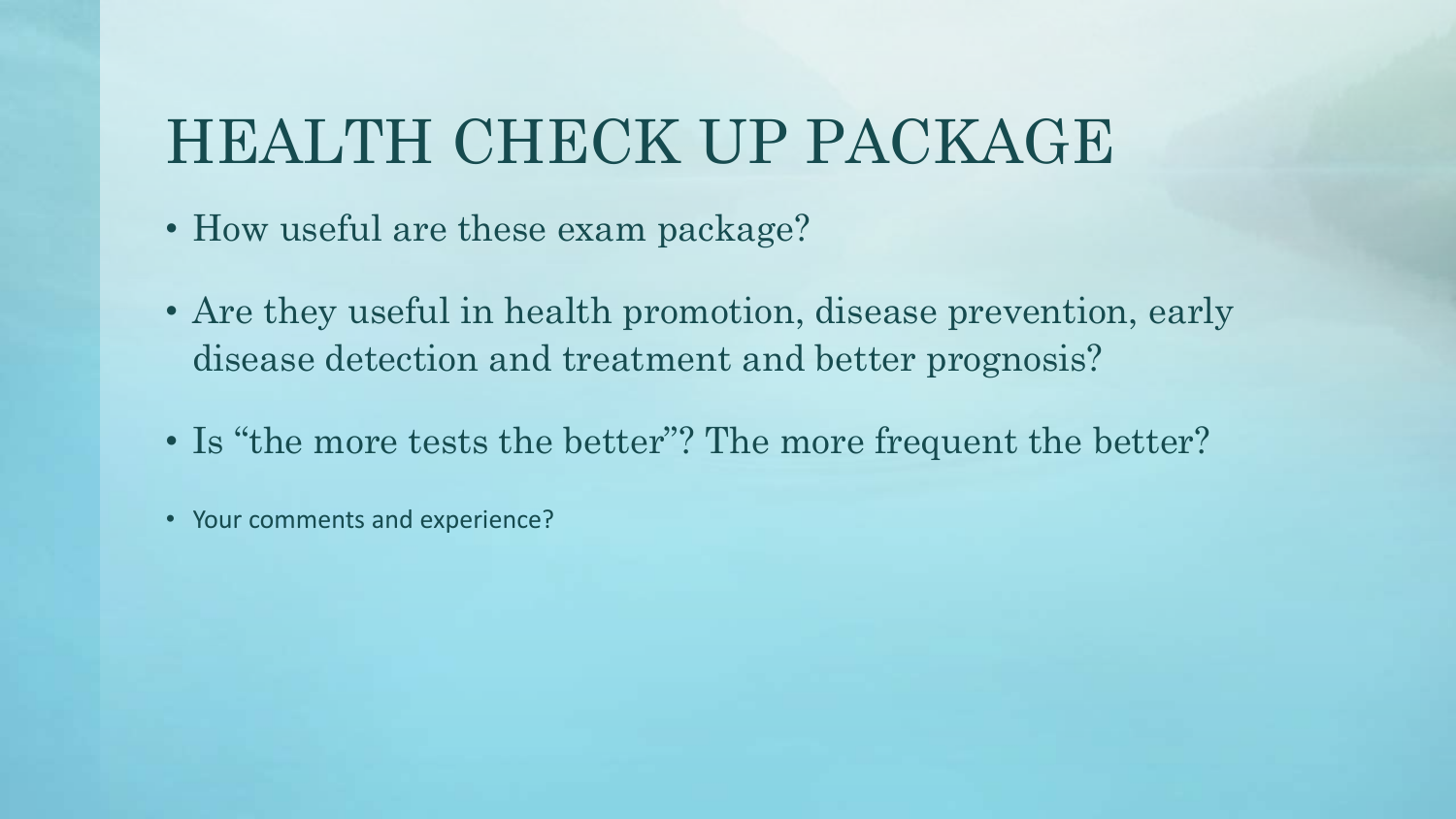# HEALTH CHECK UP PACKAGE

- How useful are these exam package?
- Are they useful in health promotion, disease prevention, early disease detection and treatment and better prognosis?
- Is "the more tests the better"? The more frequent the better?
- Your comments and experience?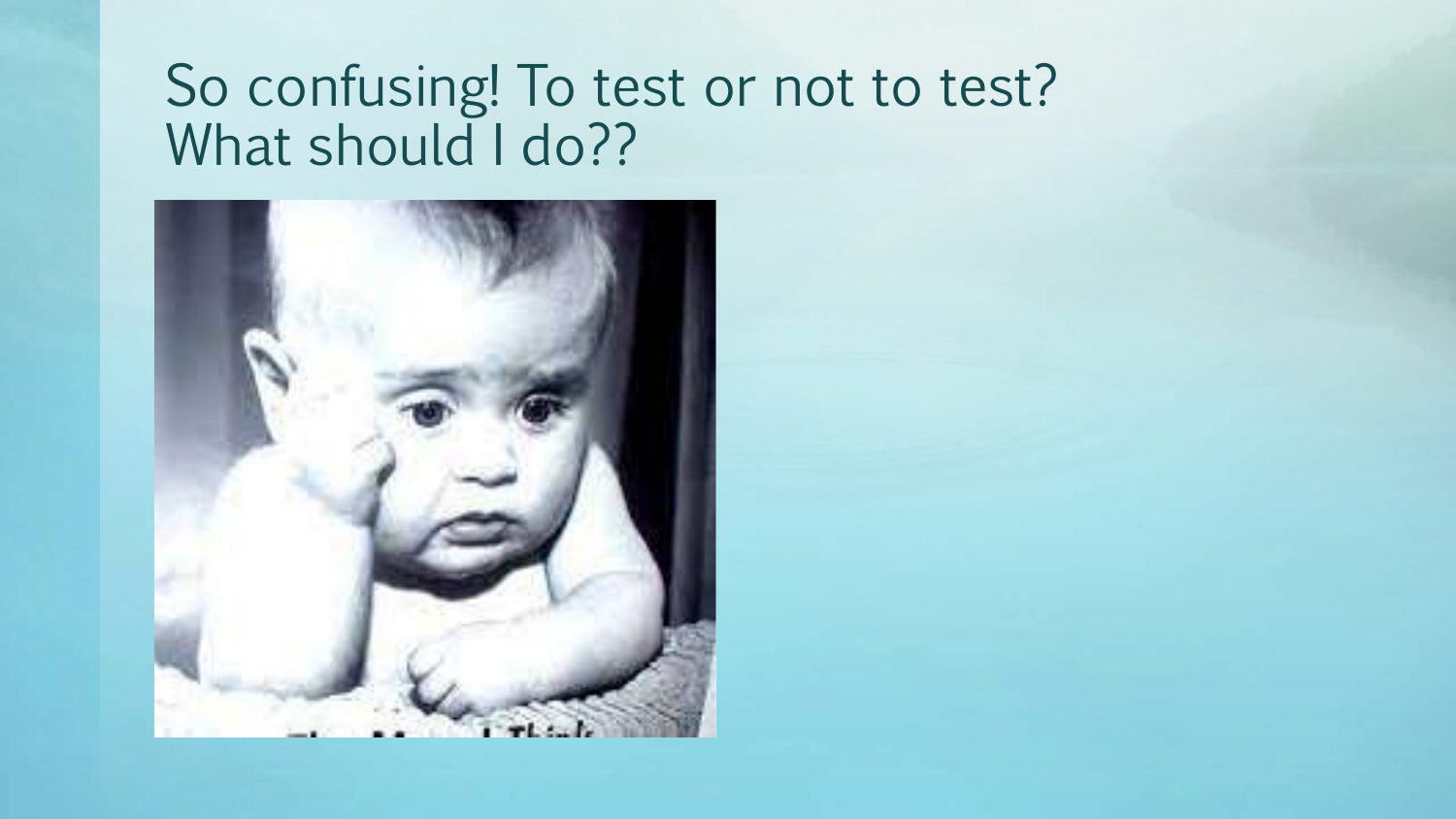### So confusing! To test or not to test? What should I do??

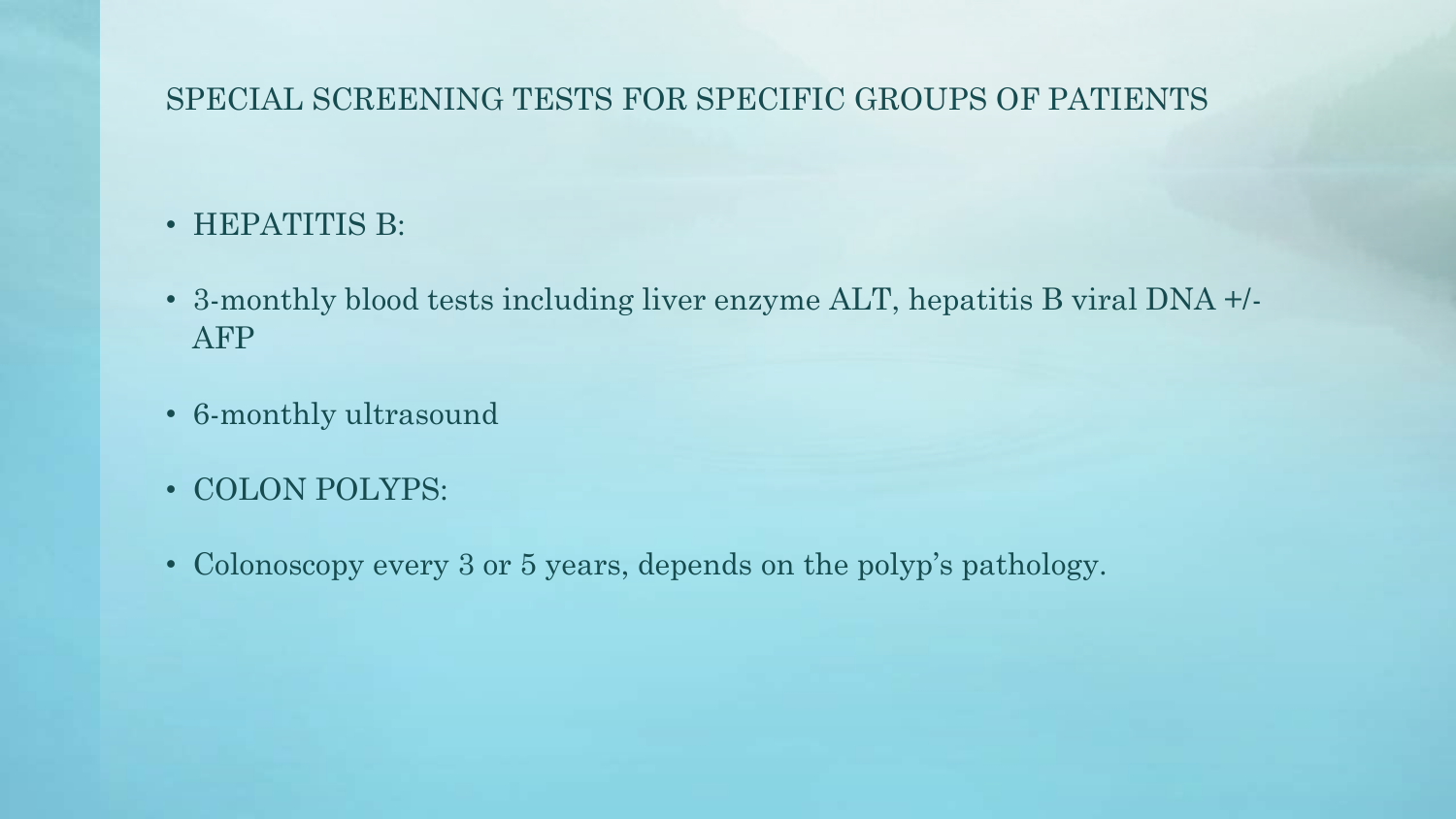#### SPECIAL SCREENING TESTS FOR SPECIFIC GROUPS OF PATIENTS

- HEPATITIS B:
- 3-monthly blood tests including liver enzyme ALT, hepatitis B viral DNA +/- AFP
- 6-monthly ultrasound
- COLON POLYPS:
- Colonoscopy every 3 or 5 years, depends on the polyp's pathology.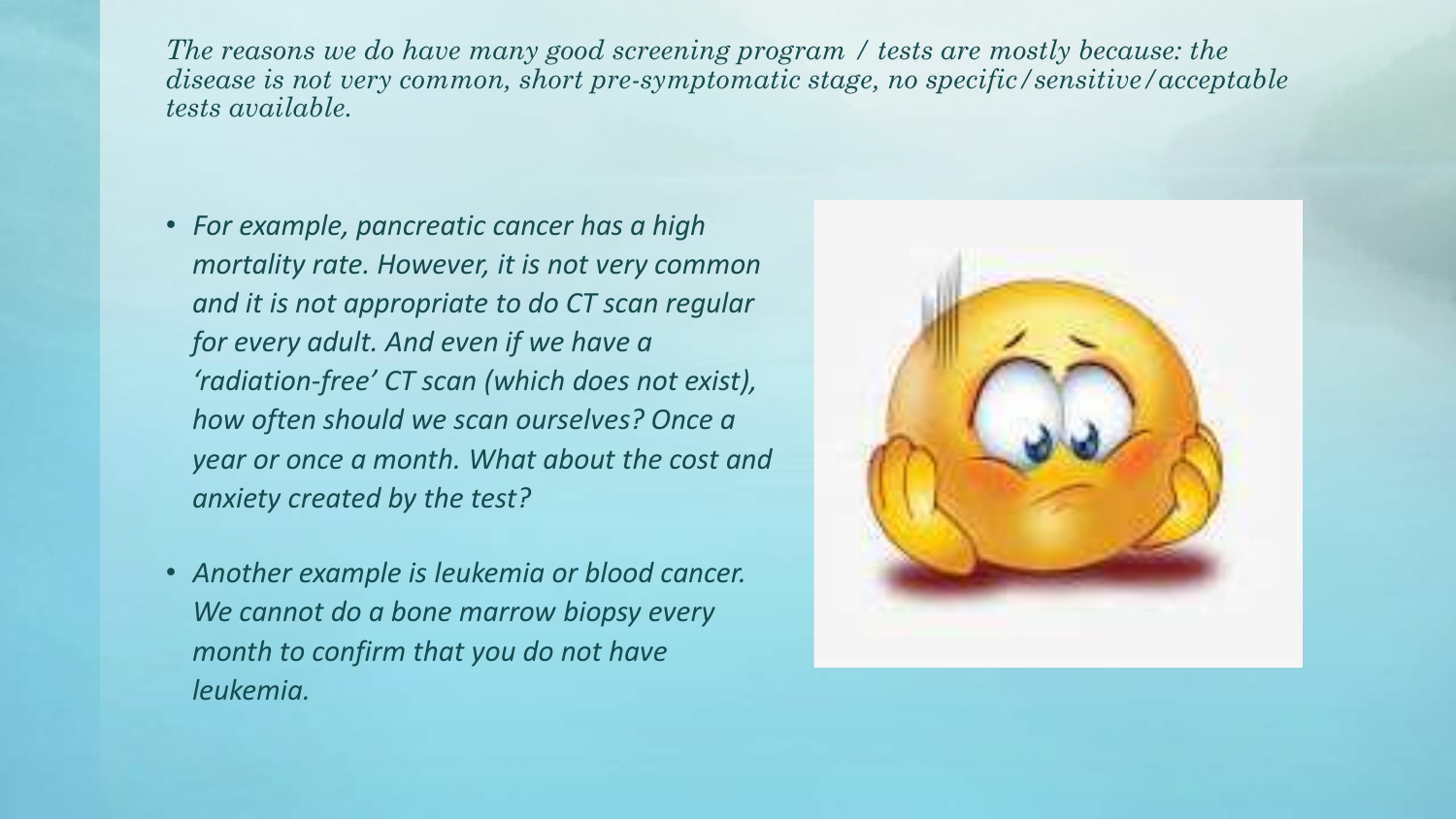*The reasons we do have many good screening program / tests are mostly because: the disease is not very common, short pre-symptomatic stage, no specific/sensitive/acceptable tests available.*

- *For example, pancreatic cancer has a high mortality rate. However, it is not very common and it is not appropriate to do CT scan regular for every adult. And even if we have a 'radiation-free' CT scan (which does not exist), how often should we scan ourselves? Once a year or once a month. What about the cost and anxiety created by the test?*
- *Another example is leukemia or blood cancer. We cannot do a bone marrow biopsy every month to confirm that you do not have leukemia.*

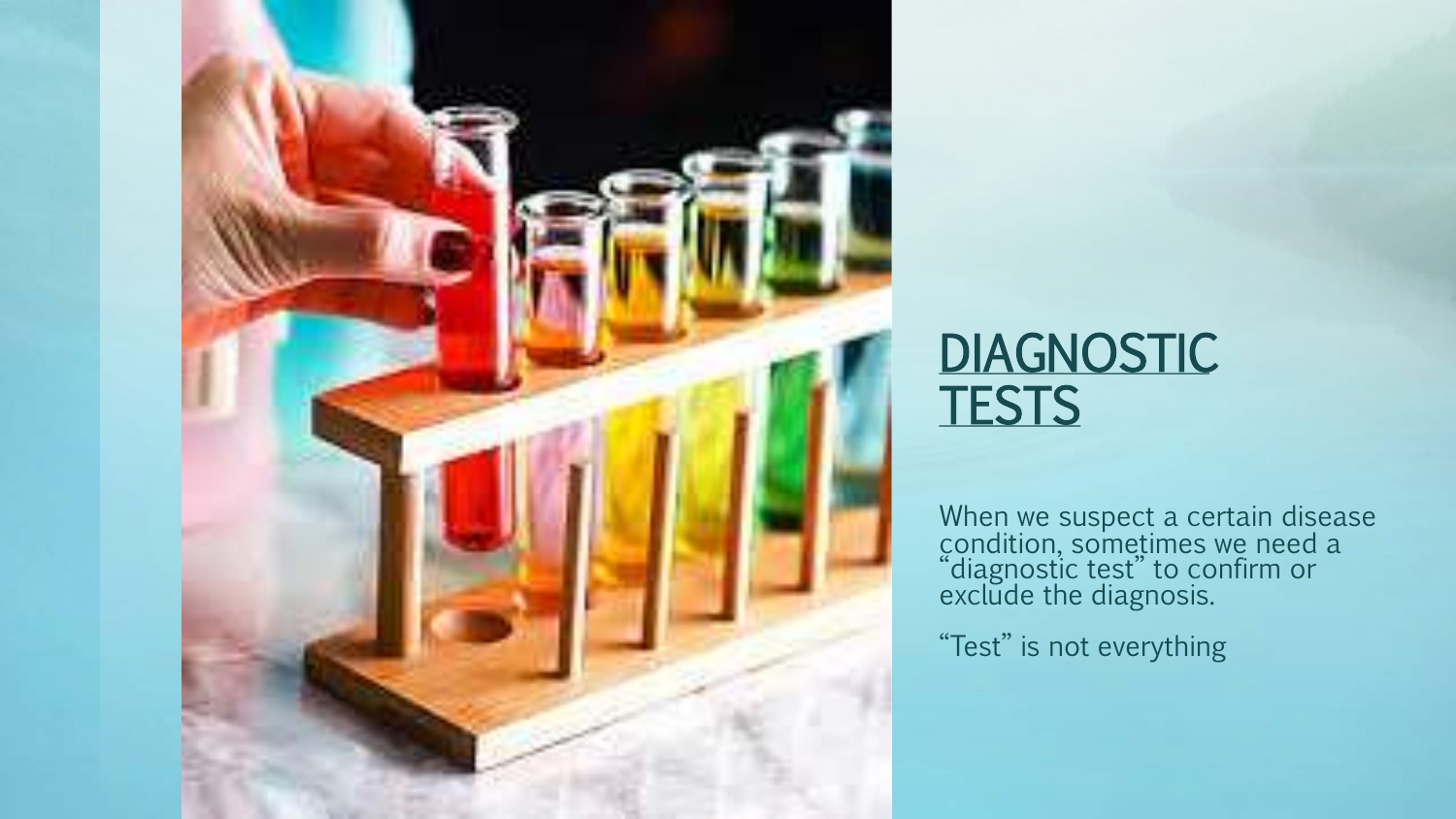

### DIAGNOSTIC TESTS

When we suspect a certain disease condition, sometimes we need a "diagnostic test" to confirm or exclude the diagnosis.

"Test" is not everything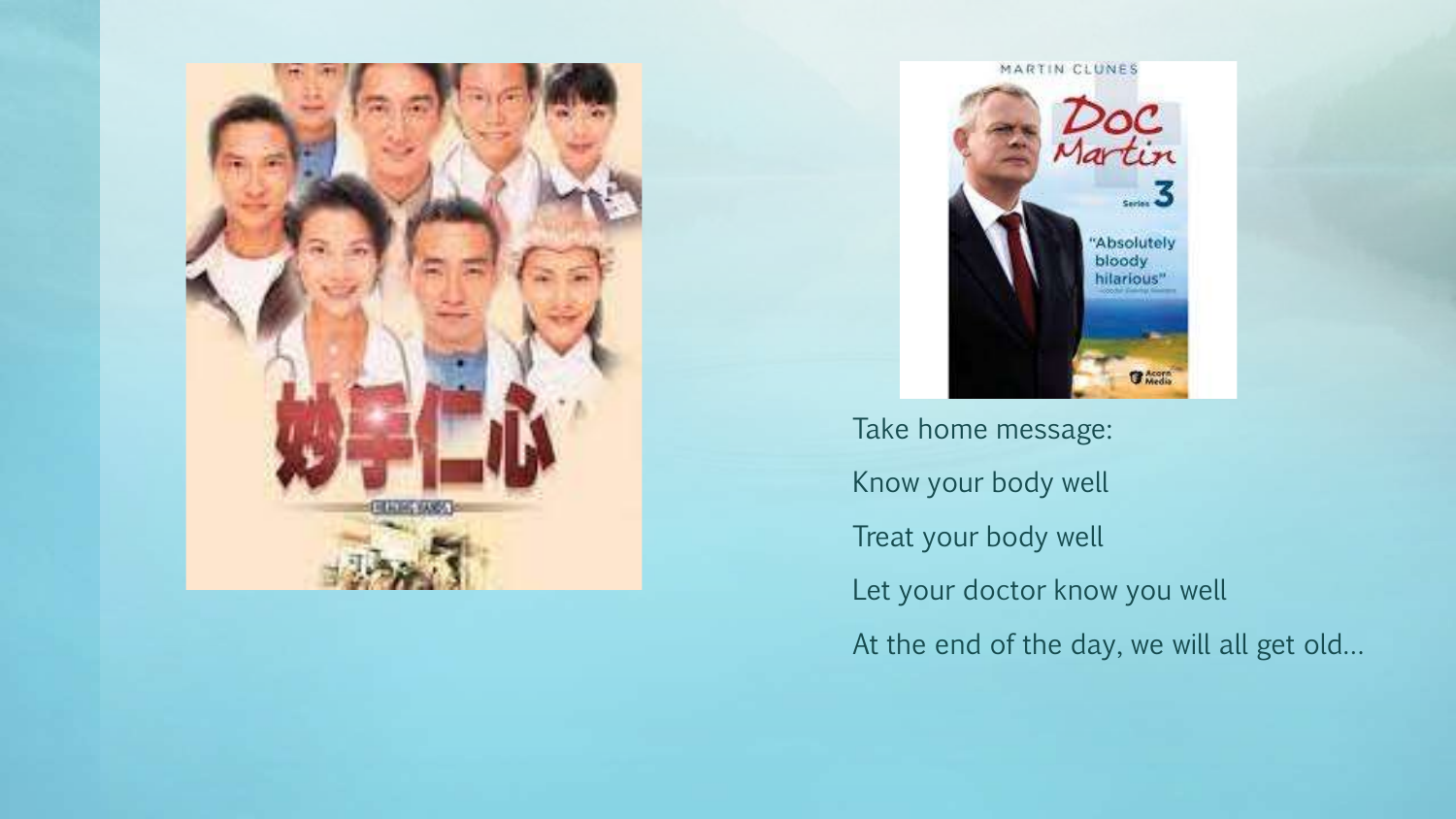

### MARTIN CLUNES Martin .<br>Series 4 "Absolutely bloody<br>hilarious" **W** Acora

Take home message: Know your body well Treat your body well Let your doctor know you well At the end of the day, we will all get old…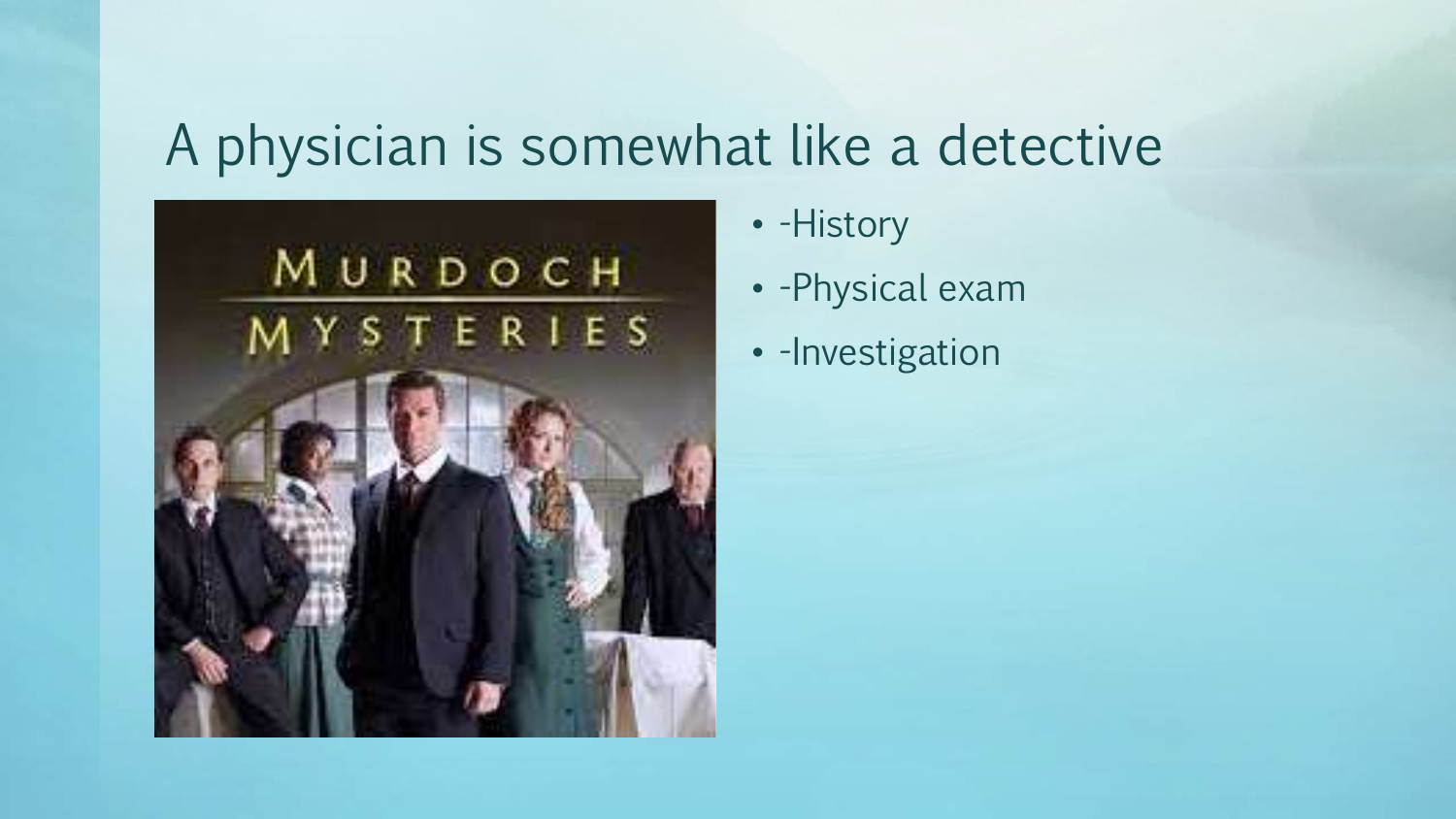## A physician is somewhat like a detective



- -History
- -Physical exam
- - Investigation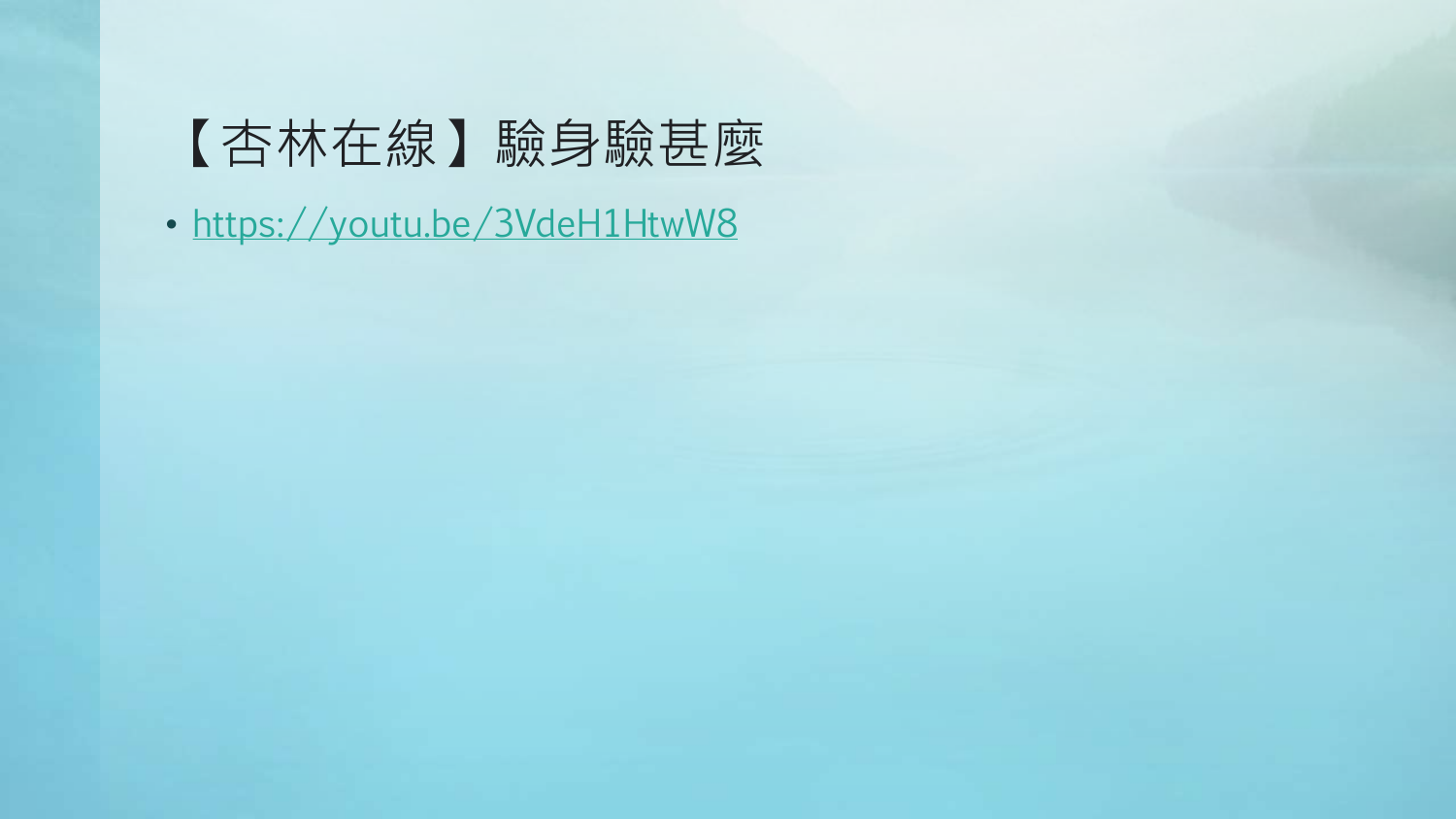# 【杏林在線】驗身驗甚麼

• <https://youtu.be/3VdeH1HtwW8>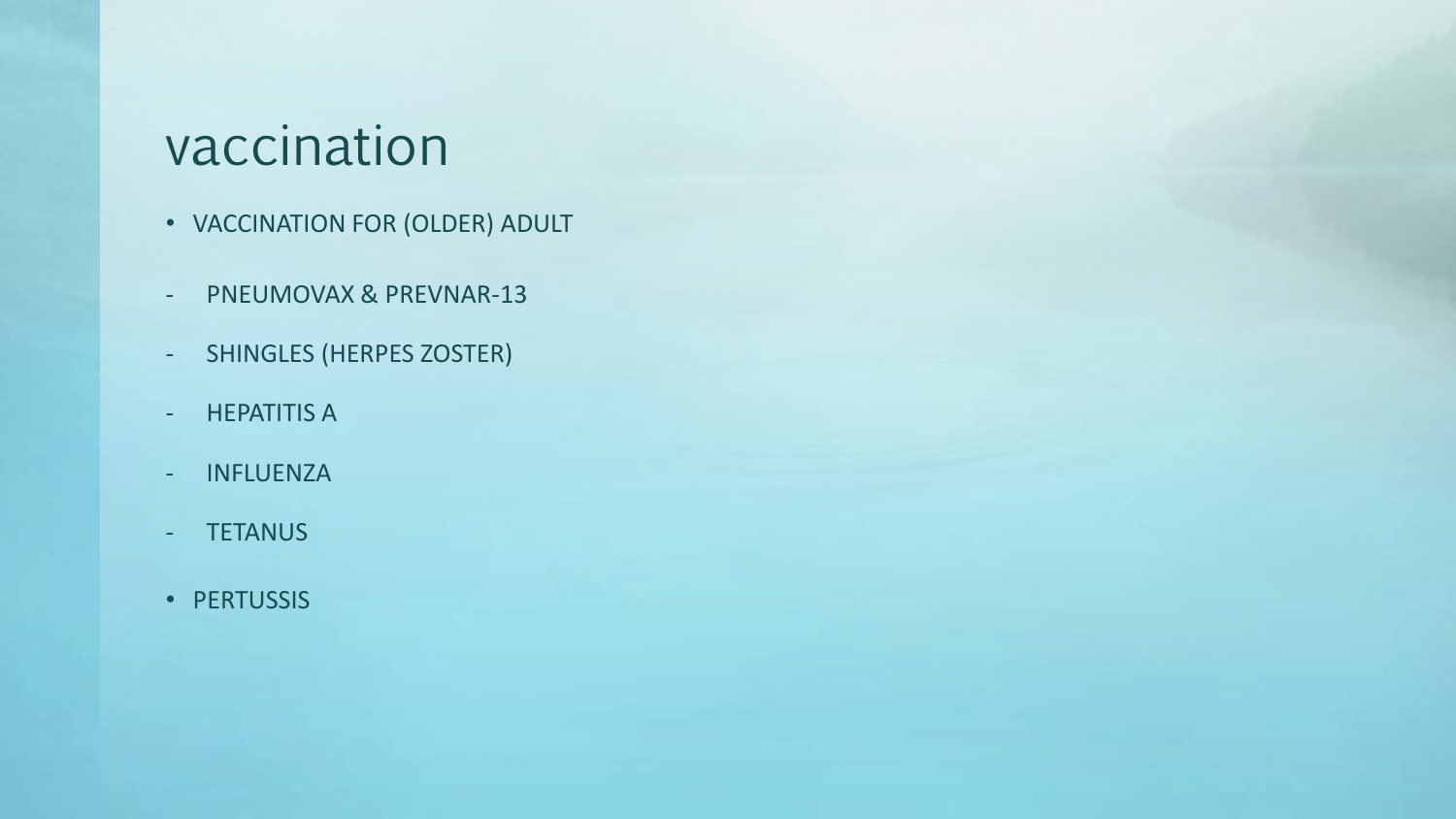### vaccination

- VACCINATION FOR (OLDER) ADULT
- PNEUMOVAX & PREVNAR-13
- SHINGLES (HERPES ZOSTER)
- HEPATITIS A
- INFLUENZA
- TETANUS
- PERTUSSIS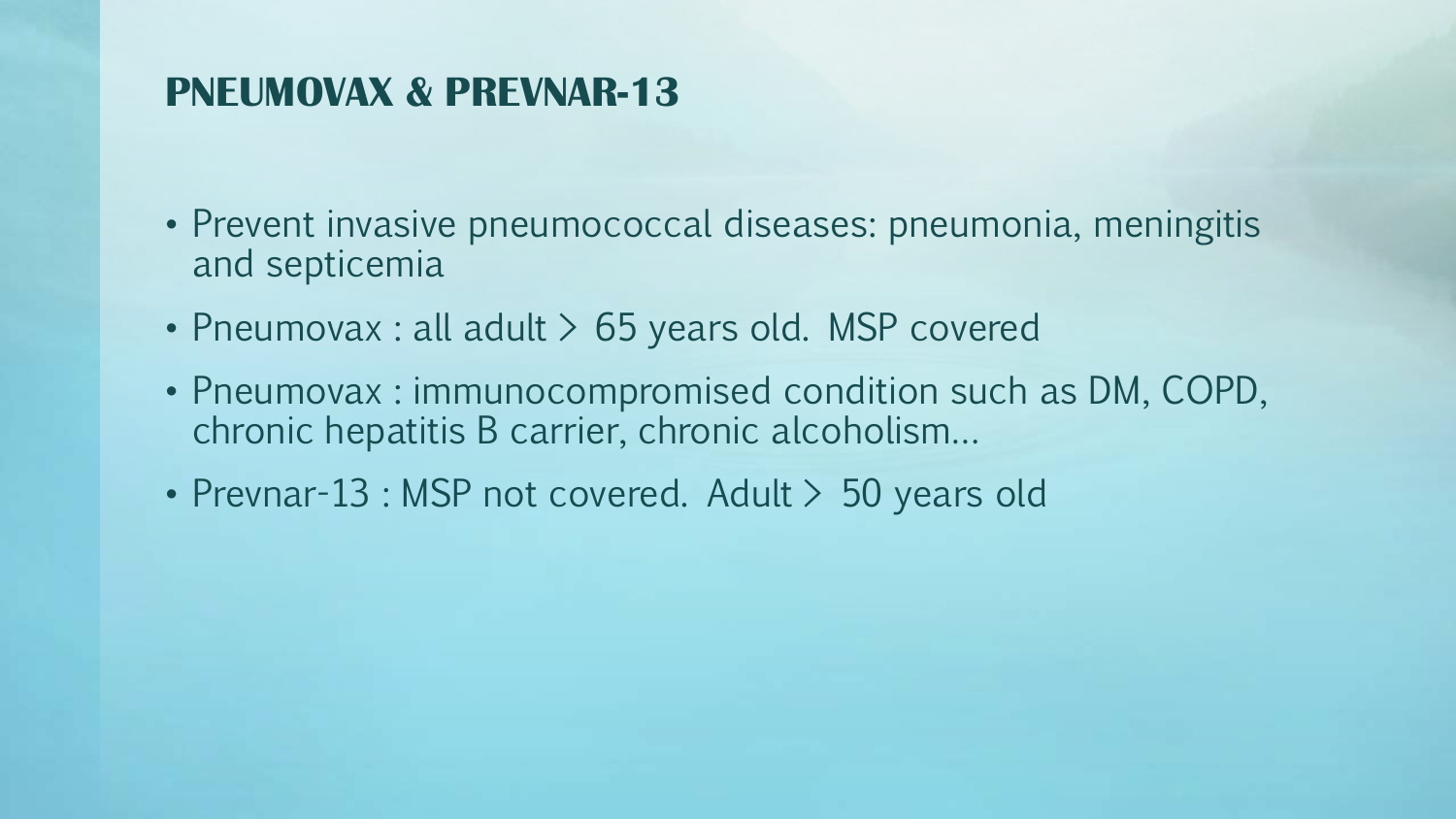### **PNEUMOVAX & PREVNAR-13**

- Prevent invasive pneumococcal diseases: pneumonia, meningitis and septicemia
- Pneumovax : all adult > 65 years old. MSP covered
- Pneumovax : immunocompromised condition such as DM, COPD, chronic hepatitis B carrier, chronic alcoholism…
- Prevnar-13 : MSP not covered. Adult > 50 years old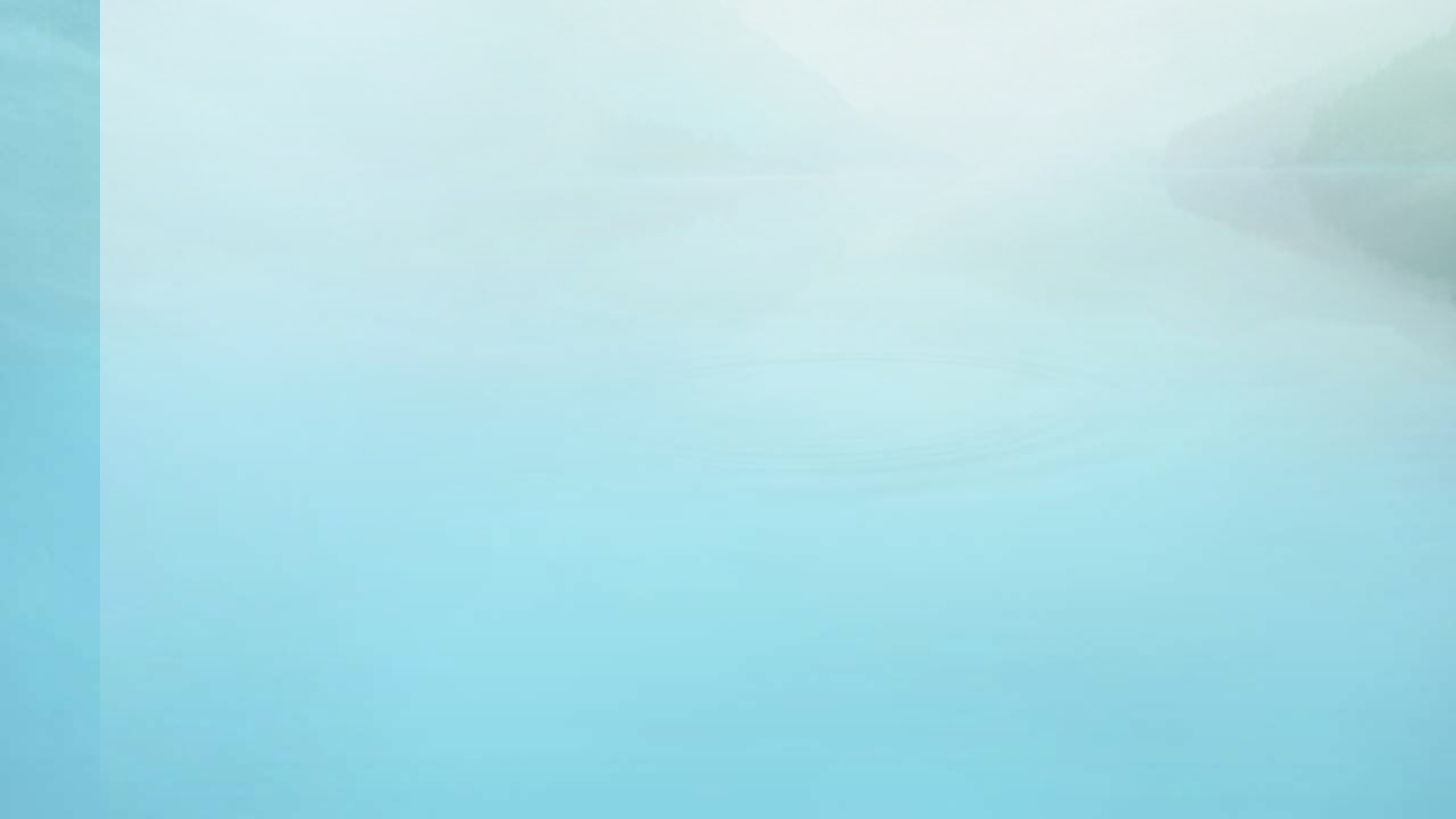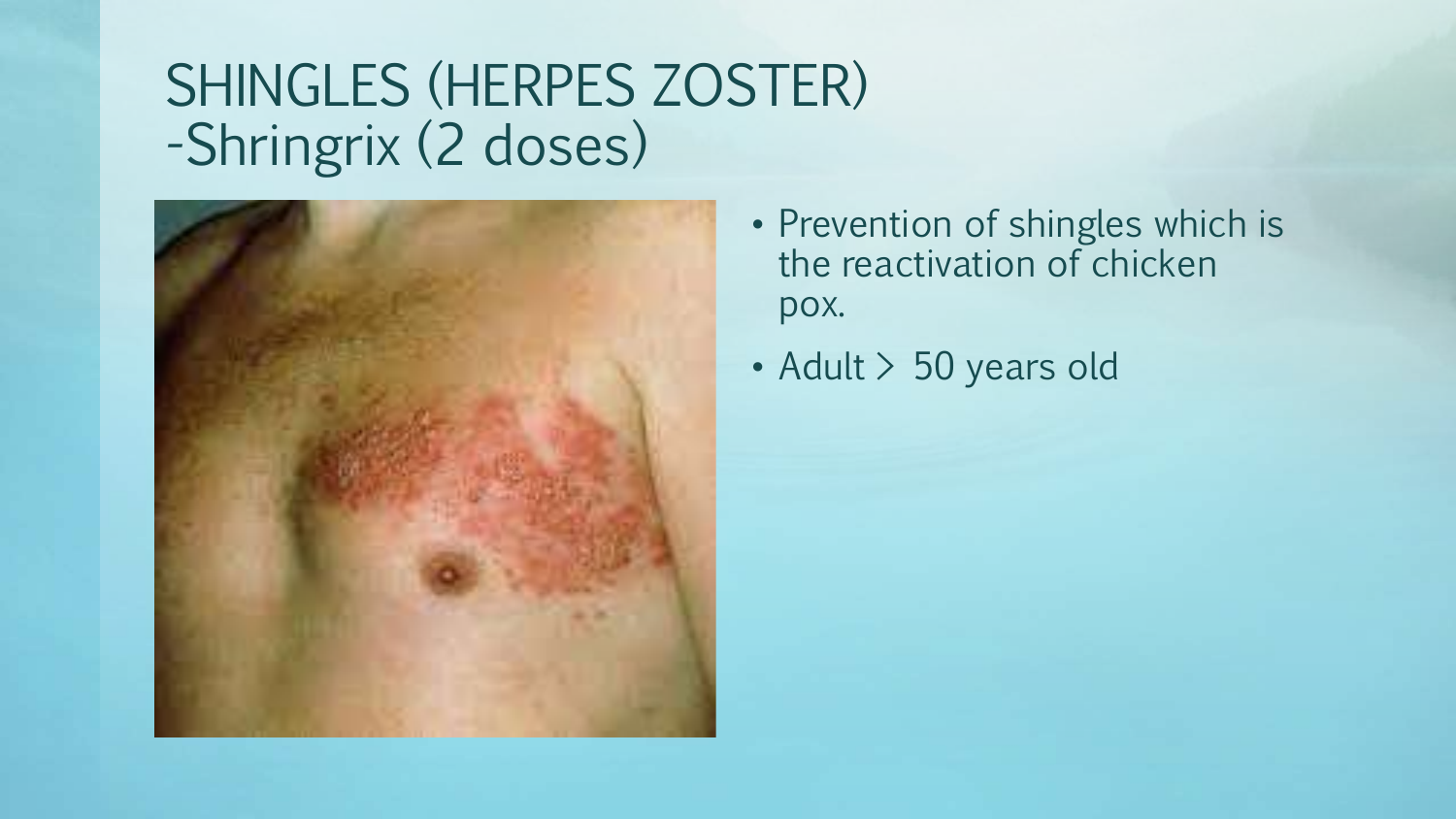## SHINGLES (HERPES ZOSTER) -Shringrix (2 doses)



- Prevention of shingles which is the reactivation of chicken pox.
- Adult > 50 years old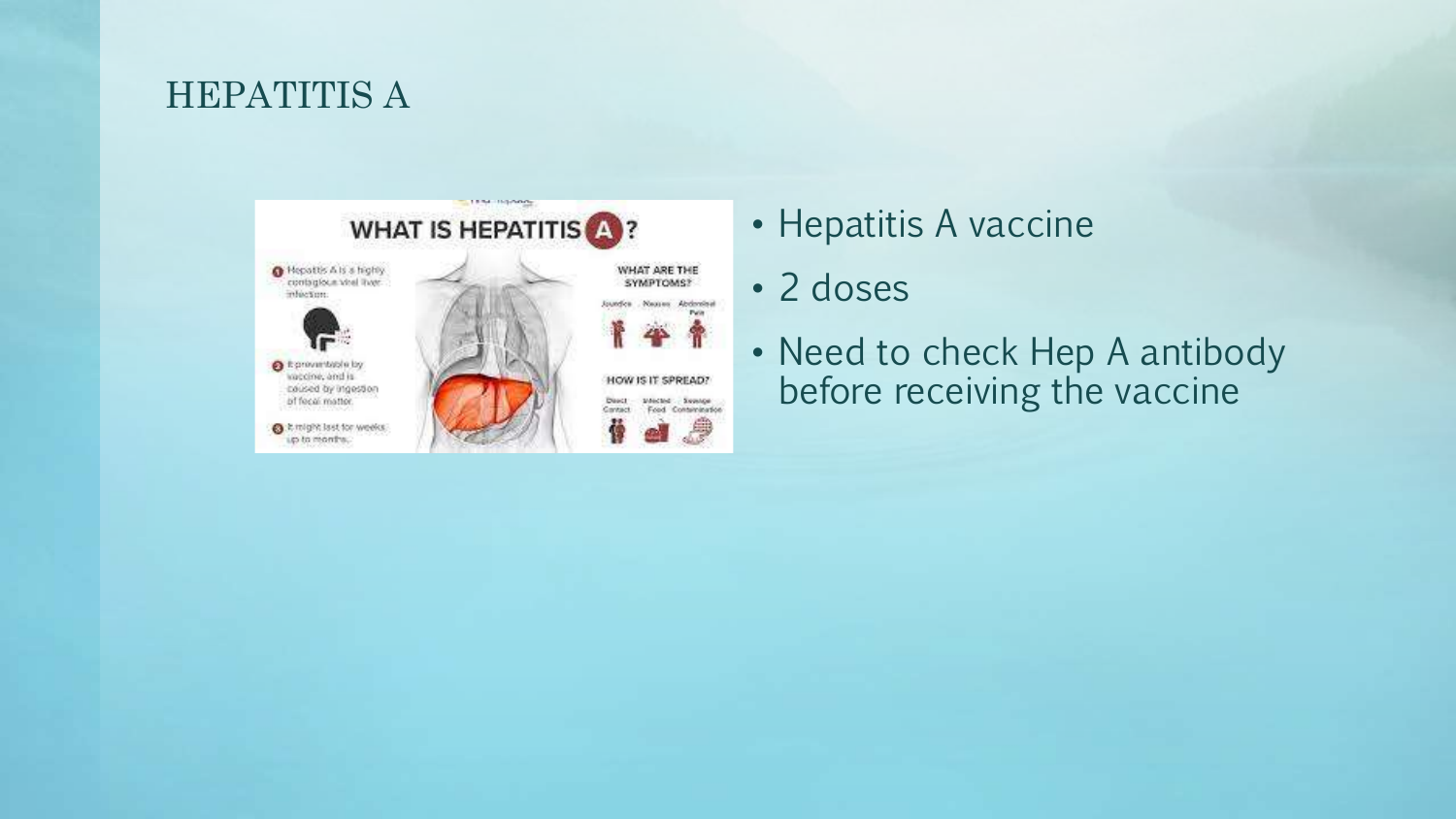#### HEPATITIS A



- Hepatitis A vaccine
- 2 doses
- Need to check Hep A antibody before receiving the vaccine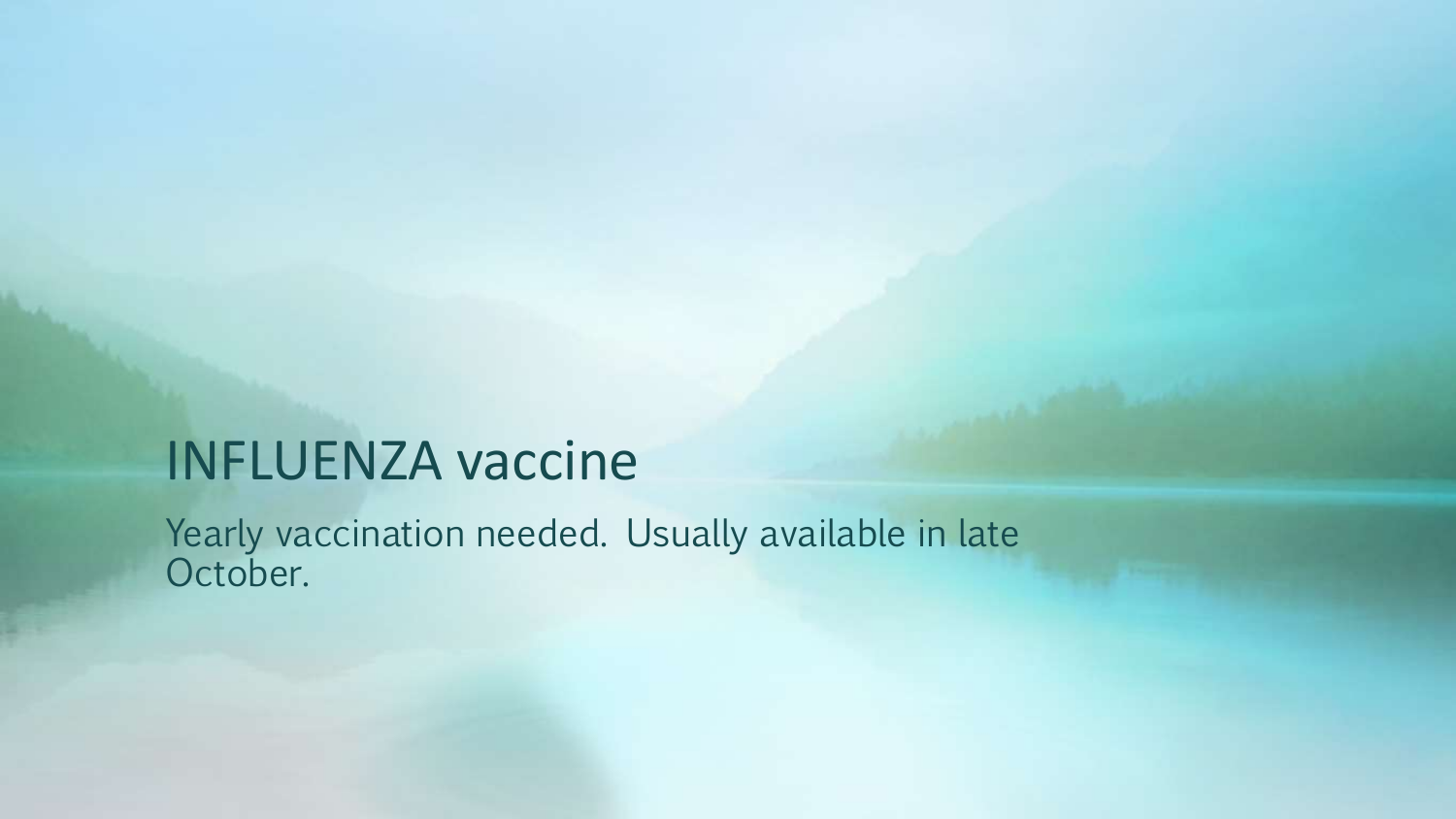## INFLUENZA vaccine

Yearly vaccination needed. Usually available in late October.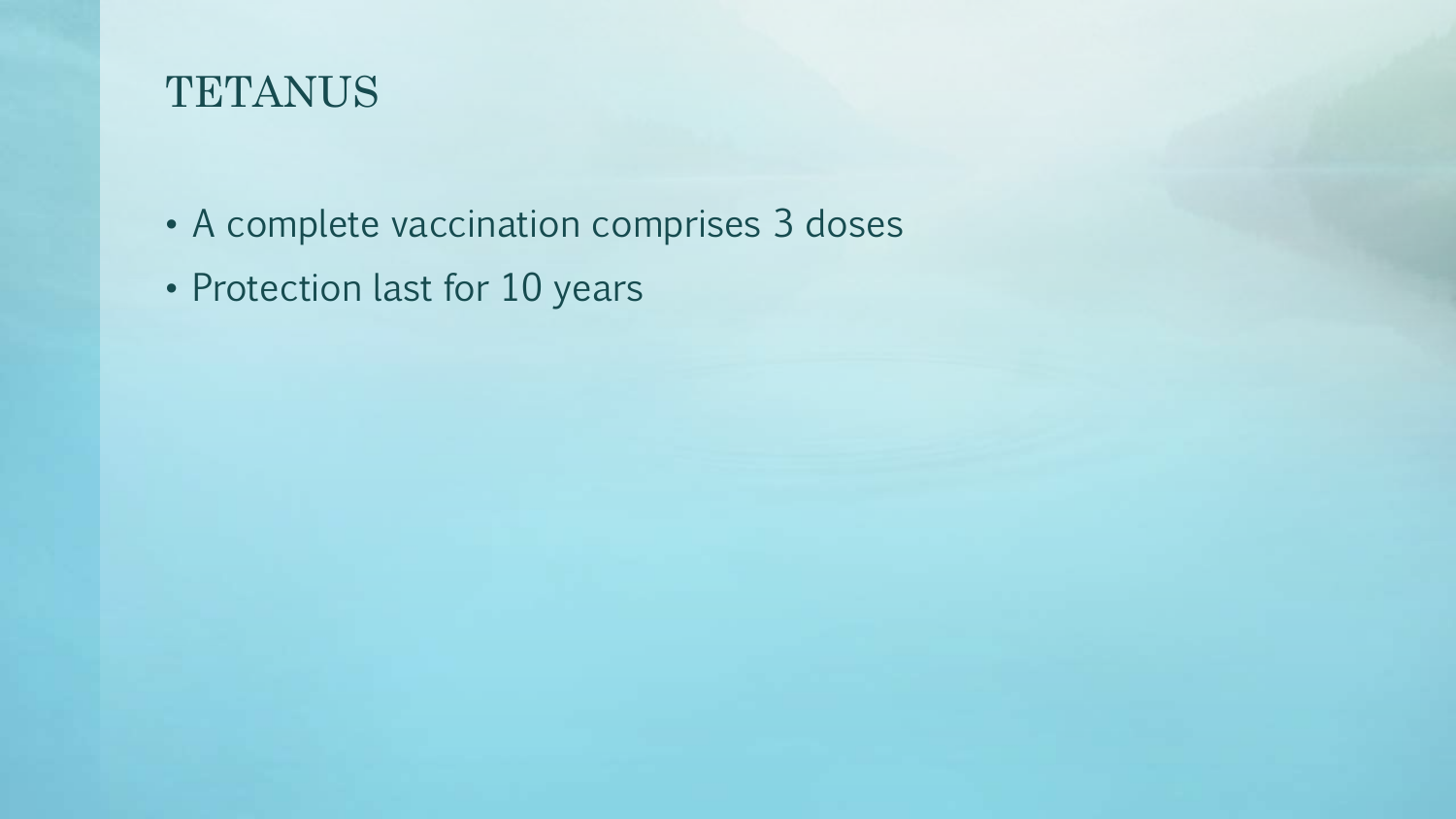### TETANUS

- A complete vaccination comprises 3 doses
- Protection last for 10 years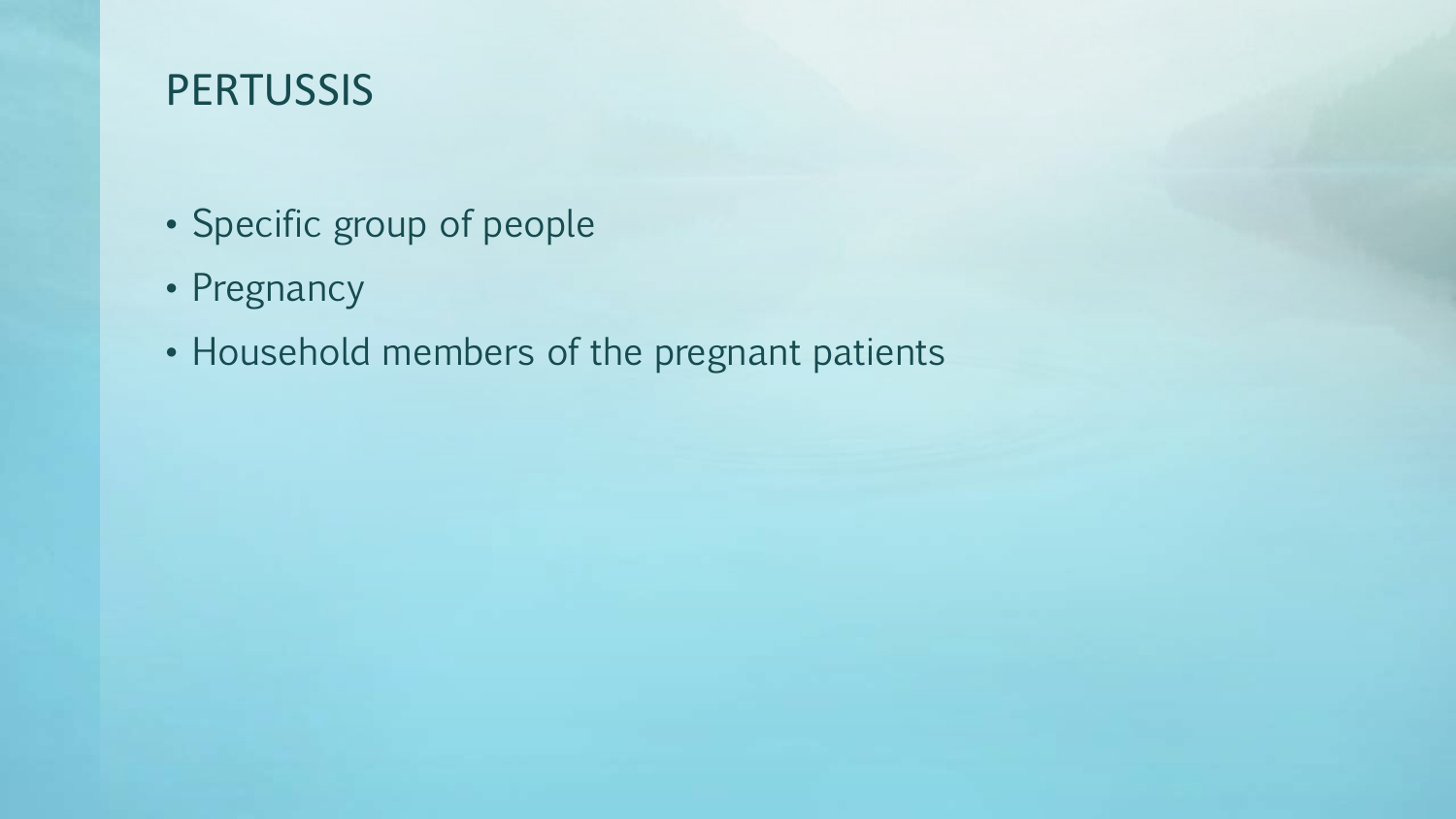### **PERTUSSIS**

- Specific group of people
- Pregnancy
- Household members of the pregnant patients